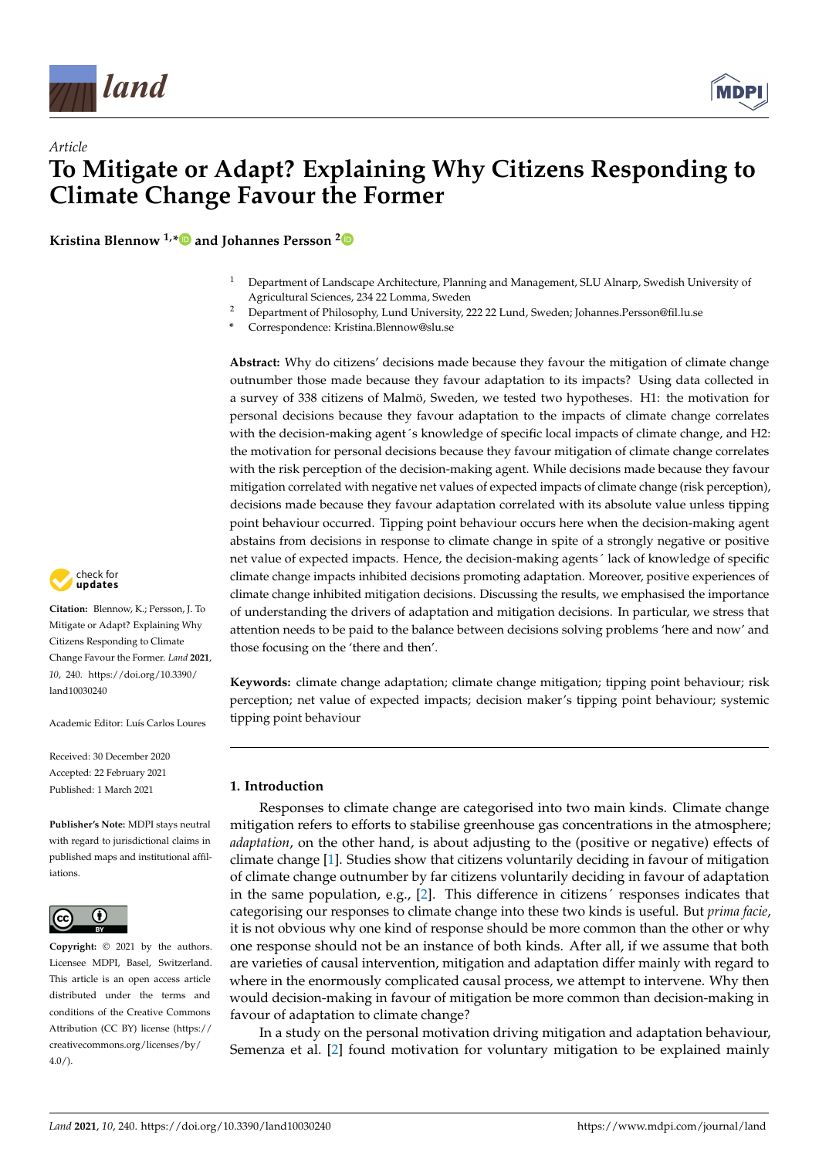

# *Article* **To Mitigate or Adapt? Explaining Why Citizens Responding to Climate Change Favour the Former**

**Kristina Blennow 1,[\\*](https://orcid.org/0000-0002-7602-5322) and Johannes Persson [2](https://orcid.org/0000-0003-4568-1850)**

- <sup>1</sup> Department of Landscape Architecture, Planning and Management, SLU Alnarp, Swedish University of Agricultural Sciences, 234 22 Lomma, Sweden
- <sup>2</sup> Department of Philosophy, Lund University, 222 22 Lund, Sweden; Johannes.Persson@fil.lu.se
- **\*** Correspondence: Kristina.Blennow@slu.se

**Abstract:** Why do citizens' decisions made because they favour the mitigation of climate change outnumber those made because they favour adaptation to its impacts? Using data collected in a survey of 338 citizens of Malmö, Sweden, we tested two hypotheses. H1: the motivation for personal decisions because they favour adaptation to the impacts of climate change correlates with the decision-making agent's knowledge of specific local impacts of climate change, and H2: the motivation for personal decisions because they favour mitigation of climate change correlates with the risk perception of the decision-making agent. While decisions made because they favour mitigation correlated with negative net values of expected impacts of climate change (risk perception), decisions made because they favour adaptation correlated with its absolute value unless tipping point behaviour occurred. Tipping point behaviour occurs here when the decision-making agent abstains from decisions in response to climate change in spite of a strongly negative or positive net value of expected impacts. Hence, the decision-making agents´ lack of knowledge of specific climate change impacts inhibited decisions promoting adaptation. Moreover, positive experiences of climate change inhibited mitigation decisions. Discussing the results, we emphasised the importance of understanding the drivers of adaptation and mitigation decisions. In particular, we stress that attention needs to be paid to the balance between decisions solving problems 'here and now' and those focusing on the 'there and then'.

**Keywords:** climate change adaptation; climate change mitigation; tipping point behaviour; risk perception; net value of expected impacts; decision maker's tipping point behaviour; systemic tipping point behaviour

## **1. Introduction**

Responses to climate change are categorised into two main kinds. Climate change mitigation refers to efforts to stabilise greenhouse gas concentrations in the atmosphere; *adaptation*, on the other hand, is about adjusting to the (positive or negative) effects of climate change [\[1\]](#page-12-0). Studies show that citizens voluntarily deciding in favour of mitigation of climate change outnumber by far citizens voluntarily deciding in favour of adaptation in the same population, e.g., [\[2\]](#page-12-1). This difference in citizens´ responses indicates that categorising our responses to climate change into these two kinds is useful. But *prima facie*, it is not obvious why one kind of response should be more common than the other or why one response should not be an instance of both kinds. After all, if we assume that both are varieties of causal intervention, mitigation and adaptation differ mainly with regard to where in the enormously complicated causal process, we attempt to intervene. Why then would decision-making in favour of mitigation be more common than decision-making in favour of adaptation to climate change?

In a study on the personal motivation driving mitigation and adaptation behaviour, Semenza et al. [\[2\]](#page-12-1) found motivation for voluntary mitigation to be explained mainly



**Citation:** Blennow, K.; Persson, J. To Mitigate or Adapt? Explaining Why Citizens Responding to Climate Change Favour the Former. *Land* **2021**, *10*, 240. [https://doi.org/10.3390/](https://doi.org/10.3390/land10030240) [land10030240](https://doi.org/10.3390/land10030240)

Academic Editor: Luís Carlos Loures

Received: 30 December 2020 Accepted: 22 February 2021 Published: 1 March 2021

**Publisher's Note:** MDPI stays neutral with regard to jurisdictional claims in published maps and institutional affiliations.



**Copyright:** © 2021 by the authors. Licensee MDPI, Basel, Switzerland. This article is an open access article distributed under the terms and conditions of the Creative Commons Attribution (CC BY) license (https:/[/](https://creativecommons.org/licenses/by/4.0/) [creativecommons.org/licenses/by/](https://creativecommons.org/licenses/by/4.0/) 4.0/).

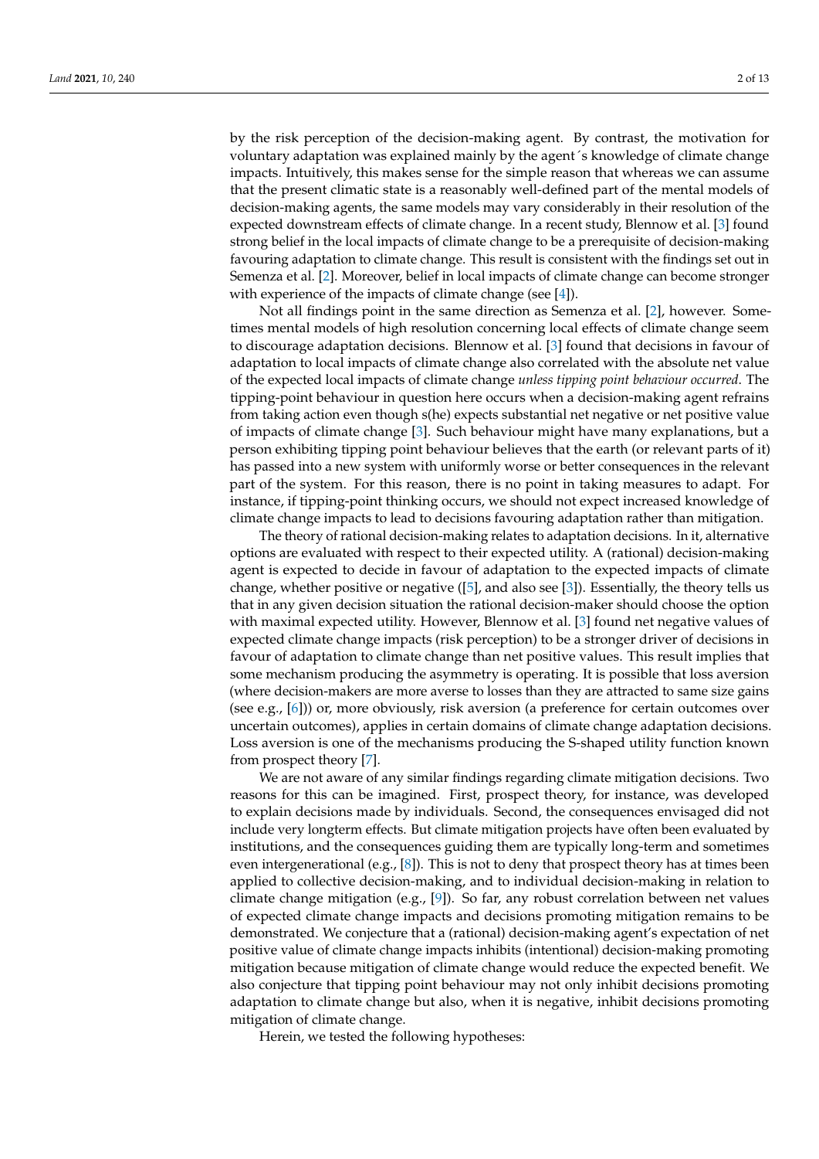by the risk perception of the decision-making agent. By contrast, the motivation for voluntary adaptation was explained mainly by the agent´s knowledge of climate change impacts. Intuitively, this makes sense for the simple reason that whereas we can assume that the present climatic state is a reasonably well-defined part of the mental models of decision-making agents, the same models may vary considerably in their resolution of the expected downstream effects of climate change. In a recent study, Blennow et al. [\[3\]](#page-12-2) found strong belief in the local impacts of climate change to be a prerequisite of decision-making favouring adaptation to climate change. This result is consistent with the findings set out in Semenza et al. [\[2\]](#page-12-1). Moreover, belief in local impacts of climate change can become stronger with experience of the impacts of climate change (see [\[4\]](#page-12-3)).

Not all findings point in the same direction as Semenza et al. [\[2\]](#page-12-1), however. Sometimes mental models of high resolution concerning local effects of climate change seem to discourage adaptation decisions. Blennow et al. [\[3\]](#page-12-2) found that decisions in favour of adaptation to local impacts of climate change also correlated with the absolute net value of the expected local impacts of climate change *unless tipping point behaviour occurred*. The tipping-point behaviour in question here occurs when a decision-making agent refrains from taking action even though s(he) expects substantial net negative or net positive value of impacts of climate change [\[3\]](#page-12-2). Such behaviour might have many explanations, but a person exhibiting tipping point behaviour believes that the earth (or relevant parts of it) has passed into a new system with uniformly worse or better consequences in the relevant part of the system. For this reason, there is no point in taking measures to adapt. For instance, if tipping-point thinking occurs, we should not expect increased knowledge of climate change impacts to lead to decisions favouring adaptation rather than mitigation.

The theory of rational decision-making relates to adaptation decisions. In it, alternative options are evaluated with respect to their expected utility. A (rational) decision-making agent is expected to decide in favour of adaptation to the expected impacts of climate change, whether positive or negative ([\[5\]](#page-12-4), and also see [\[3\]](#page-12-2)). Essentially, the theory tells us that in any given decision situation the rational decision-maker should choose the option with maximal expected utility. However, Blennow et al. [\[3\]](#page-12-2) found net negative values of expected climate change impacts (risk perception) to be a stronger driver of decisions in favour of adaptation to climate change than net positive values. This result implies that some mechanism producing the asymmetry is operating. It is possible that loss aversion (where decision-makers are more averse to losses than they are attracted to same size gains (see e.g., [\[6\]](#page-12-5))) or, more obviously, risk aversion (a preference for certain outcomes over uncertain outcomes), applies in certain domains of climate change adaptation decisions. Loss aversion is one of the mechanisms producing the S-shaped utility function known from prospect theory [\[7\]](#page-12-6).

We are not aware of any similar findings regarding climate mitigation decisions. Two reasons for this can be imagined. First, prospect theory, for instance, was developed to explain decisions made by individuals. Second, the consequences envisaged did not include very longterm effects. But climate mitigation projects have often been evaluated by institutions, and the consequences guiding them are typically long-term and sometimes even intergenerational (e.g., [\[8\]](#page-12-7)). This is not to deny that prospect theory has at times been applied to collective decision-making, and to individual decision-making in relation to climate change mitigation (e.g., [\[9\]](#page-12-8)). So far, any robust correlation between net values of expected climate change impacts and decisions promoting mitigation remains to be demonstrated. We conjecture that a (rational) decision-making agent's expectation of net positive value of climate change impacts inhibits (intentional) decision-making promoting mitigation because mitigation of climate change would reduce the expected benefit. We also conjecture that tipping point behaviour may not only inhibit decisions promoting adaptation to climate change but also, when it is negative, inhibit decisions promoting mitigation of climate change.

Herein, we tested the following hypotheses: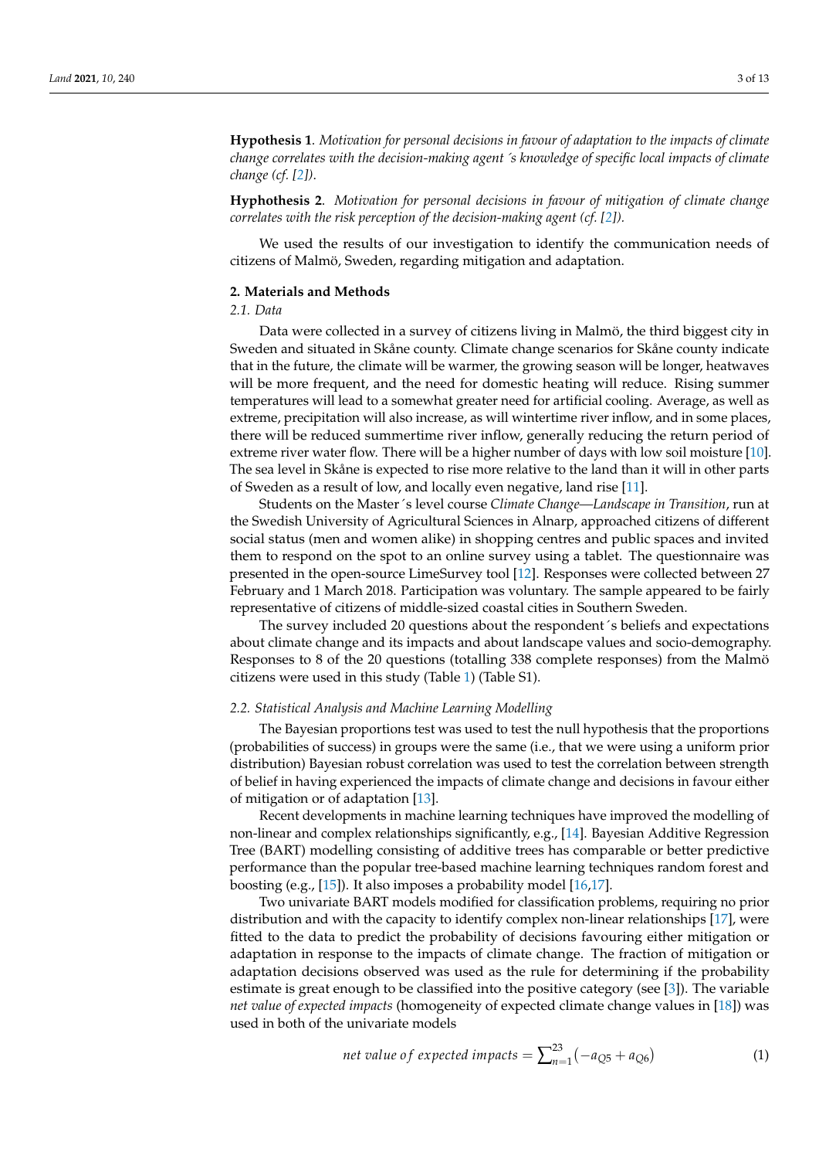**Hypothesis 1**. *Motivation for personal decisions in favour of adaptation to the impacts of climate change correlates with the decision-making agent*´*s knowledge of specific local impacts of climate change (cf. [\[2\]](#page-12-1))*.

**Hyphothesis 2**. *Motivation for personal decisions in favour of mitigation of climate change correlates with the risk perception of the decision-making agent (cf. [\[2\]](#page-12-1)).* 

We used the results of our investigation to identify the communication needs of citizens of Malmö, Sweden, regarding mitigation and adaptation.

## **2. Materials and Methods**

# *2.1. Data*

Data were collected in a survey of citizens living in Malmö, the third biggest city in Sweden and situated in Skåne county. Climate change scenarios for Skåne county indicate that in the future, the climate will be warmer, the growing season will be longer, heatwaves will be more frequent, and the need for domestic heating will reduce. Rising summer temperatures will lead to a somewhat greater need for artificial cooling. Average, as well as extreme, precipitation will also increase, as will wintertime river inflow, and in some places, there will be reduced summertime river inflow, generally reducing the return period of extreme river water flow. There will be a higher number of days with low soil moisture [\[10\]](#page-12-9). The sea level in Skåne is expected to rise more relative to the land than it will in other parts of Sweden as a result of low, and locally even negative, land rise [\[11\]](#page-12-10).

Students on the Master´s level course *Climate Change—Landscape in Transition*, run at the Swedish University of Agricultural Sciences in Alnarp, approached citizens of different social status (men and women alike) in shopping centres and public spaces and invited them to respond on the spot to an online survey using a tablet. The questionnaire was presented in the open-source LimeSurvey tool [\[12\]](#page-12-11). Responses were collected between 27 February and 1 March 2018. Participation was voluntary. The sample appeared to be fairly representative of citizens of middle-sized coastal cities in Southern Sweden.

The survey included 20 questions about the respondent´s beliefs and expectations about climate change and its impacts and about landscape values and socio-demography. Responses to 8 of the 20 questions (totalling 338 complete responses) from the Malmö citizens were used in this study (Table [1\)](#page-3-0) (Table S1).

#### *2.2. Statistical Analysis and Machine Learning Modelling*

The Bayesian proportions test was used to test the null hypothesis that the proportions (probabilities of success) in groups were the same (i.e., that we were using a uniform prior distribution) Bayesian robust correlation was used to test the correlation between strength of belief in having experienced the impacts of climate change and decisions in favour either of mitigation or of adaptation [\[13\]](#page-12-12).

Recent developments in machine learning techniques have improved the modelling of non-linear and complex relationships significantly, e.g., [\[14\]](#page-12-13). Bayesian Additive Regression Tree (BART) modelling consisting of additive trees has comparable or better predictive performance than the popular tree-based machine learning techniques random forest and boosting (e.g., [\[15\]](#page-12-14)). It also imposes a probability model [\[16](#page-12-15)[,17\]](#page-12-16).

Two univariate BART models modified for classification problems, requiring no prior distribution and with the capacity to identify complex non-linear relationships [\[17\]](#page-12-16), were fitted to the data to predict the probability of decisions favouring either mitigation or adaptation in response to the impacts of climate change. The fraction of mitigation or adaptation decisions observed was used as the rule for determining if the probability estimate is great enough to be classified into the positive category (see [\[3\]](#page-12-2)). The variable *net value of expected impacts* (homogeneity of expected climate change values in [\[18\]](#page-12-17)) was used in both of the univariate models

net value of expected impacts 
$$
=\sum_{n=1}^{23} (-a_{Q5} + a_{Q6})
$$
 (1)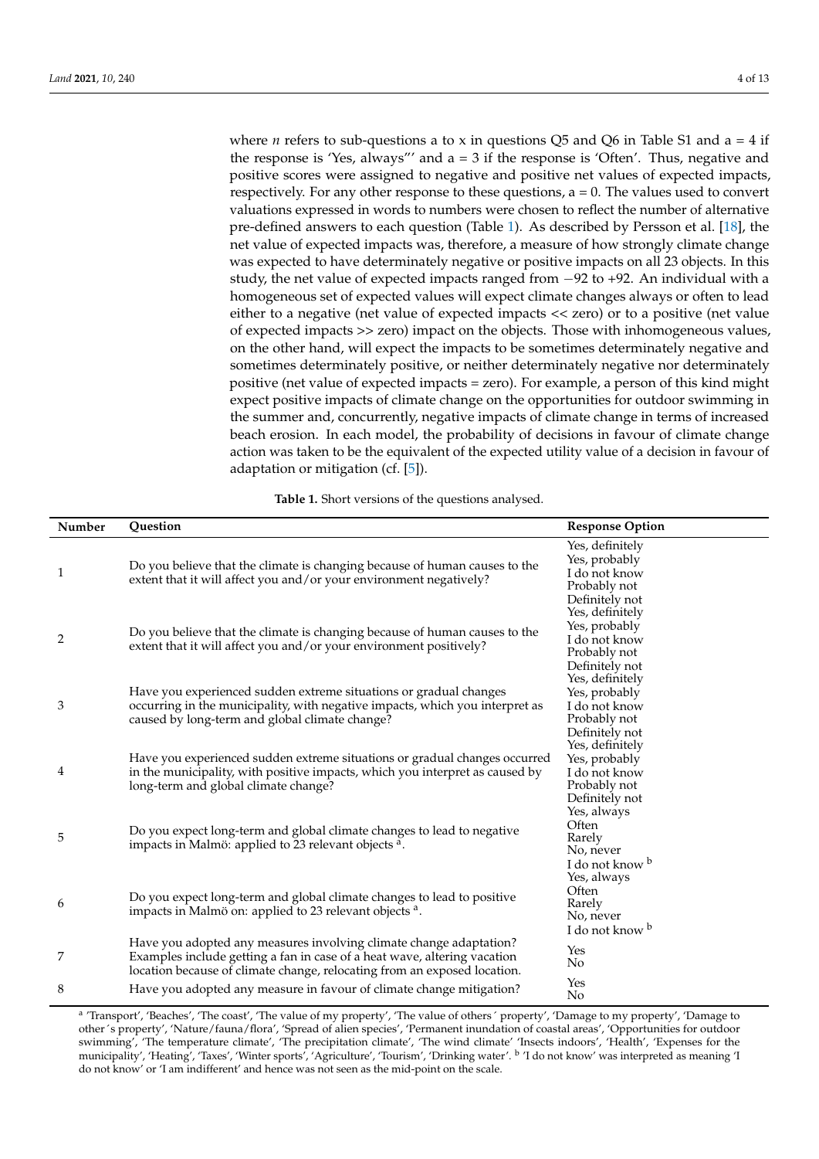where *n* refers to sub-questions a to x in questions Q5 and Q6 in Table S1 and  $a = 4$  if the response is 'Yes, always'' and  $a = 3$  if the response is 'Often'. Thus, negative and positive scores were assigned to negative and positive net values of expected impacts, respectively. For any other response to these questions,  $a = 0$ . The values used to convert valuations expressed in words to numbers were chosen to reflect the number of alternative pre-defined answers to each question (Table [1\)](#page-3-0). As described by Persson et al. [\[18\]](#page-12-17), the net value of expected impacts was, therefore, a measure of how strongly climate change was expected to have determinately negative or positive impacts on all 23 objects. In this study, the net value of expected impacts ranged from −92 to +92. An individual with a homogeneous set of expected values will expect climate changes always or often to lead either to a negative (net value of expected impacts << zero) or to a positive (net value of expected impacts >> zero) impact on the objects. Those with inhomogeneous values, on the other hand, will expect the impacts to be sometimes determinately negative and sometimes determinately positive, or neither determinately negative nor determinately positive (net value of expected impacts = zero). For example, a person of this kind might expect positive impacts of climate change on the opportunities for outdoor swimming in the summer and, concurrently, negative impacts of climate change in terms of increased beach erosion. In each model, the probability of decisions in favour of climate change action was taken to be the equivalent of the expected utility value of a decision in favour of adaptation or mitigation (cf. [\[5\]](#page-12-4)).

| Table 1. Short versions of the questions analysed. |  |  |
|----------------------------------------------------|--|--|
|                                                    |  |  |

<span id="page-3-0"></span>

| Number       | <b>Question</b>                                                                                                                                                                                                            | <b>Response Option</b>                                                              |
|--------------|----------------------------------------------------------------------------------------------------------------------------------------------------------------------------------------------------------------------------|-------------------------------------------------------------------------------------|
| $\mathbf{1}$ | Do you believe that the climate is changing because of human causes to the<br>extent that it will affect you and/or your environment negatively?                                                                           | Yes, definitely<br>Yes, probably<br>I do not know<br>Probably not<br>Definitely not |
| 2            | Do you believe that the climate is changing because of human causes to the<br>extent that it will affect you and/or your environment positively?                                                                           | Yes, definitely<br>Yes, probably<br>I do not know<br>Probably not<br>Definitely not |
| 3            | Have you experienced sudden extreme situations or gradual changes<br>occurring in the municipality, with negative impacts, which you interpret as<br>caused by long-term and global climate change?                        | Yes, definitely<br>Yes, probably<br>I do not know<br>Probably not<br>Definitely not |
| 4            | Have you experienced sudden extreme situations or gradual changes occurred<br>in the municipality, with positive impacts, which you interpret as caused by<br>long-term and global climate change?                         | Yes, definitely<br>Yes, probably<br>I do not know<br>Probably not<br>Definitely not |
| 5            | Do you expect long-term and global climate changes to lead to negative<br>impacts in Malmö: applied to 23 relevant objects <sup>a</sup> .                                                                                  | Yes, always<br>Often<br>Rarely<br>No, never<br>I do not know b                      |
| 6            | Do you expect long-term and global climate changes to lead to positive<br>impacts in Malmö on: applied to 23 relevant objects <sup>a</sup> .                                                                               | Yes, always<br>Often<br>Rarely<br>No, never<br>I do not know b                      |
| 7            | Have you adopted any measures involving climate change adaptation?<br>Examples include getting a fan in case of a heat wave, altering vacation<br>location because of climate change, relocating from an exposed location. | Yes<br>No                                                                           |
| 8            | Have you adopted any measure in favour of climate change mitigation?                                                                                                                                                       | Yes<br>No                                                                           |

a 'Transport', 'Beaches', 'The coast', 'The value of my property', 'The value of others' property', 'Damage to my property', 'Damage to other´s property', 'Nature/fauna/flora', 'Spread of alien species', 'Permanent inundation of coastal areas', 'Opportunities for outdoor swimming', 'The temperature climate', 'The precipitation climate', 'The wind climate' 'Insects indoors', 'Health', 'Expenses for the municipality', 'Heating', 'Taxes', 'Winter sports', 'Agriculture', 'Tourism', 'Drinking water'. <sup>b</sup> 'I do not know' was interpreted as meaning 'I do not know' or 'I am indifferent' and hence was not seen as the mid-point on the scale.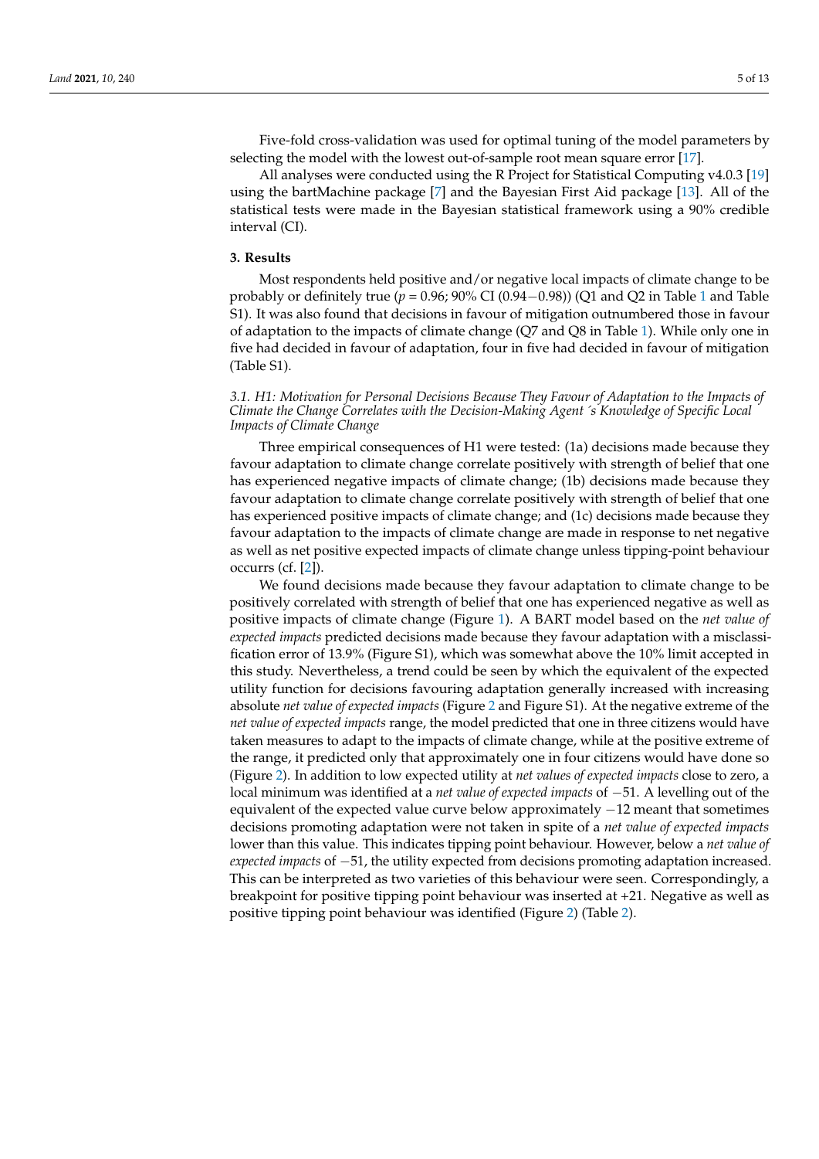Five-fold cross-validation was used for optimal tuning of the model parameters by selecting the model with the lowest out-of-sample root mean square error [\[17\]](#page-12-16).

All analyses were conducted using the R Project for Statistical Computing v4.0.3 [\[19\]](#page-12-18) using the bartMachine package [\[7\]](#page-12-6) and the Bayesian First Aid package [\[13\]](#page-12-12). All of the statistical tests were made in the Bayesian statistical framework using a 90% credible interval (CI).

#### **3. Results**

Most respondents held positive and/or negative local impacts of climate change to be probably or definitely true (*p* = 0.96; 90% CI (0.94−0.98)) (Q1 and Q2 in Table [1](#page-3-0) and Table S1). It was also found that decisions in favour of mitigation outnumbered those in favour of adaptation to the impacts of climate change (Q7 and Q8 in Table [1\)](#page-3-0). While only one in five had decided in favour of adaptation, four in five had decided in favour of mitigation (Table S1).

#### *3.1. H1: Motivation for Personal Decisions Because They Favour of Adaptation to the Impacts of Climate the Change Correlates with the Decision-Making Agent*´*s Knowledge of Specific Local Impacts of Climate Change*

Three empirical consequences of H1 were tested: (1a) decisions made because they favour adaptation to climate change correlate positively with strength of belief that one has experienced negative impacts of climate change; (1b) decisions made because they favour adaptation to climate change correlate positively with strength of belief that one has experienced positive impacts of climate change; and (1c) decisions made because they favour adaptation to the impacts of climate change are made in response to net negative as well as net positive expected impacts of climate change unless tipping-point behaviour occurrs (cf. [\[2\]](#page-12-1)).

We found decisions made because they favour adaptation to climate change to be positively correlated with strength of belief that one has experienced negative as well as positive impacts of climate change (Figure [1\)](#page-5-0). A BART model based on the *net value of expected impacts* predicted decisions made because they favour adaptation with a misclassification error of 13.9% (Figure S1), which was somewhat above the 10% limit accepted in this study. Nevertheless, a trend could be seen by which the equivalent of the expected utility function for decisions favouring adaptation generally increased with increasing absolute *net value of expected impacts* (Figure [2](#page-6-0) and Figure S1). At the negative extreme of the *net value of expected impacts* range, the model predicted that one in three citizens would have taken measures to adapt to the impacts of climate change, while at the positive extreme of the range, it predicted only that approximately one in four citizens would have done so (Figure [2\)](#page-6-0). In addition to low expected utility at *net values of expected impacts* close to zero, a local minimum was identified at a *net value of expected impacts* of −51. A levelling out of the equivalent of the expected value curve below approximately −12 meant that sometimes decisions promoting adaptation were not taken in spite of a *net value of expected impacts* lower than this value. This indicates tipping point behaviour. However, below a *net value of expected impacts* of −51, the utility expected from decisions promoting adaptation increased. This can be interpreted as two varieties of this behaviour were seen. Correspondingly, a breakpoint for positive tipping point behaviour was inserted at +21. Negative as well as positive tipping point behaviour was identified (Figure [2\)](#page-6-0) (Table [2\)](#page-5-1).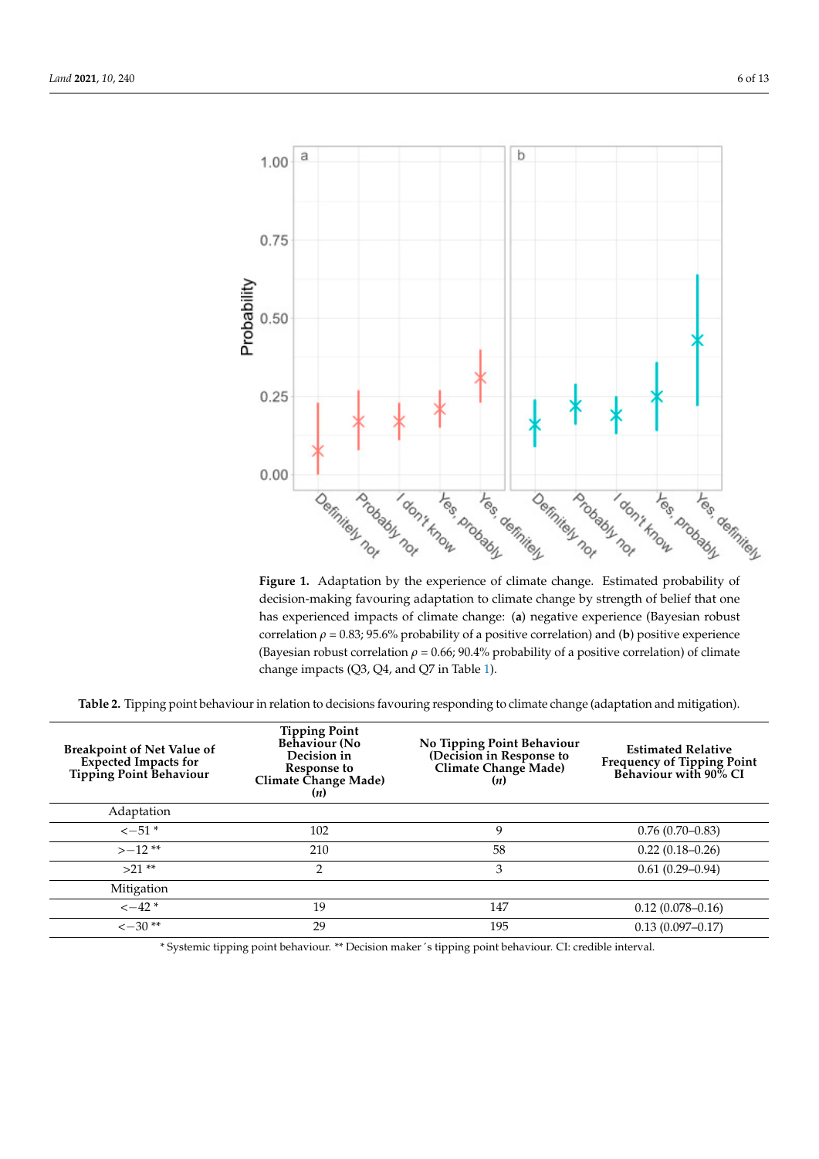<span id="page-5-0"></span>

ative as well as positive tipping point behaviour was identified (Figure 2) (Table 2).

**Figure 1.** Adaptation by the experience of climate change. Estimated probability of **Figure 1.** Adaptation by the experience of climate change. Estimated probability of decision-making favouring adaptation to climate change by strength of belief that one has experienced impacts of climate change: (a) negative experience (Bayesian robust correlation  $\rho$  = 0.83; 95.6% probability of a positive correlation) and (**b**) positive experience (Bayesian robust correlation *ρ* = 0.66; 90.4% probability of a positive correlation) of climate (Bayesian robust correlation *ρ* = 0.66; 90.4% probability of a positive correlation) of climate change impacts (Q3, Q4, and Q7 in Tab[le](#page-3-0) 1). change impacts (Q3, Q4, and Q7 in Table 1).

<span id="page-5-1"></span>

| Table 2. Tipping point behaviour in relation to decisions favouring responding to climate change (adaptation and mitigation). |  |
|-------------------------------------------------------------------------------------------------------------------------------|--|
|                                                                                                                               |  |

| <b>Breakpoint of Net Value of</b><br>Expected Impacts for<br>Tipping Point Behaviour | <b>Tipping Point</b><br>Behaviour (No<br>Decision in<br>Response to<br>Climate Change Made)<br>(n) | No Tipping Point Behaviour<br>(Decision in Response to<br>Climate Change Made)<br>(n) | <b>Estimated Relative</b><br><b>Frequency of Tipping Point<br/>Behaviour with 90% CI</b> |
|--------------------------------------------------------------------------------------|----------------------------------------------------------------------------------------------------|---------------------------------------------------------------------------------------|------------------------------------------------------------------------------------------|
| Adaptation                                                                           |                                                                                                    |                                                                                       |                                                                                          |
| $\sim -51$ *                                                                         | 102                                                                                                | 9                                                                                     | $0.76(0.70-0.83)$                                                                        |
| $>-12**$                                                                             | 210                                                                                                | 58                                                                                    | $0.22(0.18-0.26)$                                                                        |
| $>21**$                                                                              | 2                                                                                                  | 3                                                                                     | $0.61(0.29 - 0.94)$                                                                      |
| Mitigation                                                                           |                                                                                                    |                                                                                       |                                                                                          |
| $\leftarrow$ 42 $*$                                                                  | 19                                                                                                 | 147                                                                                   | $0.12(0.078 - 0.16)$                                                                     |
| $\leftarrow 30**$                                                                    | 29                                                                                                 | 195                                                                                   | $0.13(0.097 - 0.17)$                                                                     |

\* Systemic tipping point behaviour. \*\* Decision maker´s tipping point behaviour. CI: credible interval.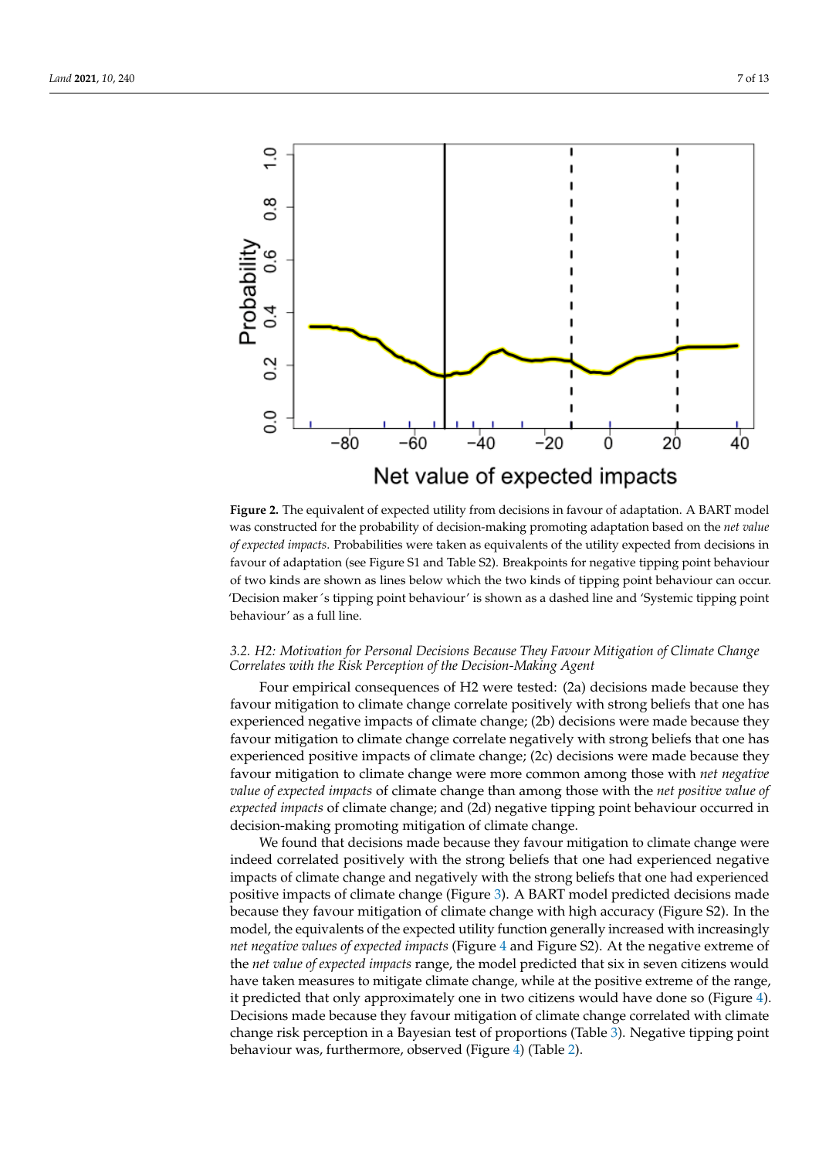<span id="page-6-0"></span>

**Figure 2.** The equivalent of expected utility from decisions in favour of adaptation. was constructed for the probability of decision-making promoting adaptation based on the *net value* A BART model was constructed for the probability of decision-making promoting adap-*of expected impacts*. Probabilities were taken as equivalents of the utility expected from decisions in favour of adaptation (see Figure S1 and Table S2). Breakpoints for negative tipping point behaviour of two kinds are shown as lines below which the two kinds of tipping point behaviour can occur. 'Decision maker 's tipping point behaviour' is shown as a dashed line and 'Systemic tipping point behaviour' as a full line.  $\mathcal{L}$  is a full line. **Figure 2.** The equivalent of expected utility from decisions in favour of adaptation. A BART model

### 3.2. H2: Motivation for Personal Decisions Because They Favour Mitigation of Climate Change *Correlates with the Risk Perception of the Decision-Making Agent*

Four empirical consequences of H2 were tested: (2a) decisions made because they favour mitigation to climate change correlate positively with strong beliefs that one has experienced negative impacts of climate change; (2b) decisions were made because they favour mitigation to climate change correlate negatively with strong beliefs that one has experienced positive impacts of climate change; (2c) decisions were made because they favour mitigation to climate change were more common among those with *net negative value of expected impacts* of climate change than among those with the *net positive value of expected impacts* of climate change; and (2d) negative tipping point behaviour occurred in decision-making promoting mitigation of climate change.

We found that decisions made because they favour mitigation to climate change were indeed correlated positively with the strong beliefs that one had experienced negative impacts of climate change and negatively with the strong beliefs that one had experienced positive impacts of climate change (Figure [3\)](#page-7-0). A BART model predicted decisions made because they favour mitigation of climate change with high accuracy (Figure S2). In the model, the equivalents of the expected utility function generally increased with increasingly *net negative values of expected impacts* (Figure [4](#page-7-1) and Figure S2). At the negative extreme of the *net value of expected impacts* range, the model predicted that six in seven citizens would have taken measures to mitigate climate change, while at the positive extreme of the range, it predicted that only approximately one in two citizens would have done so (Figure [4\)](#page-7-1). Decisions made because they favour mitigation of climate change correlated with climate change risk perception in a Bayesian test of proportions (Table [3\)](#page-8-0). Negative tipping point behaviour was, furthermore, observed (Figure [4\)](#page-7-1) (Table [2\)](#page-5-1).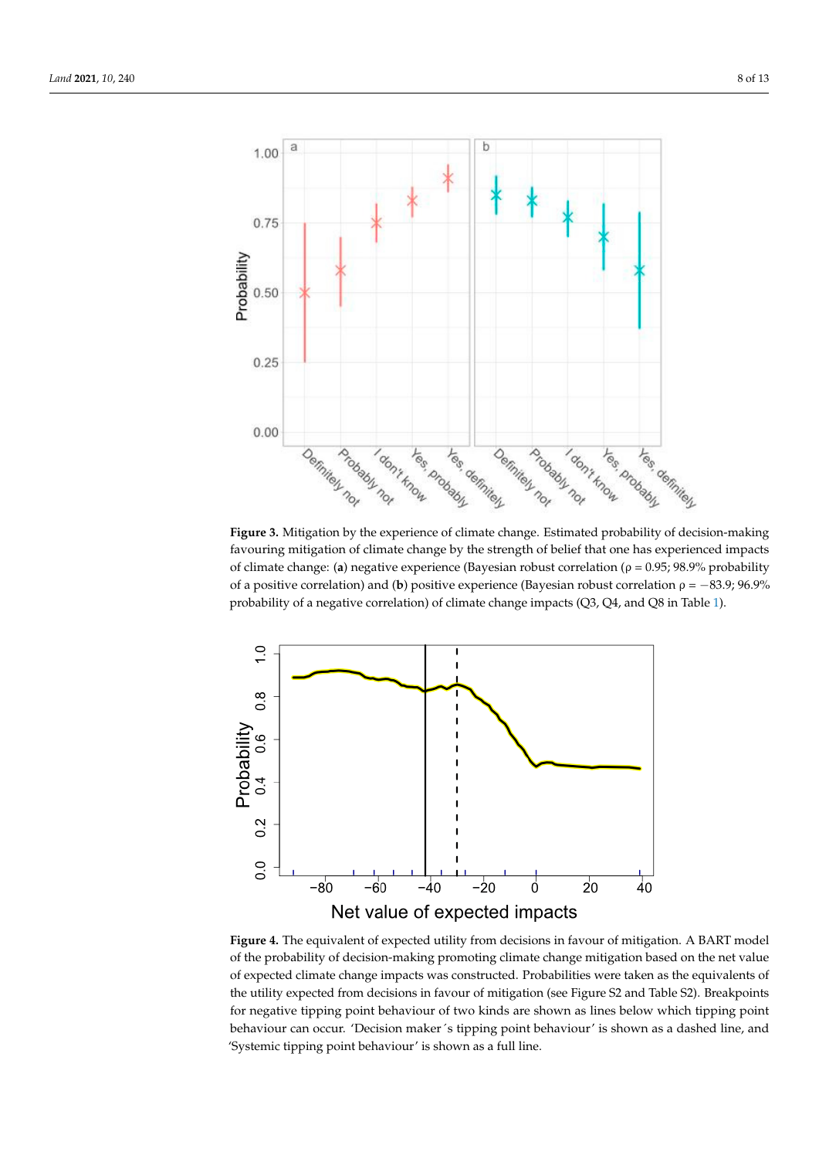<span id="page-7-0"></span>

favouring mitigation of climate change by the strength of belief that one has experienced impacts decision-making favouring mitigation-making by the strength of belief that one has separated of climate change: (a) negative experience (Bayesian robust correlation ( $\rho = 0.95$ ; 98.9% probability of a positive correlation) and (b) positive experience (Bayesian robust correlation  $\rho = -83.9; 96.9\%$ probability of a negative correlation) of climate change impacts (Q3, Q4, and Q8 in Table 1). **Figure 3.** Mitigation by the experience of climate change. Estimated probability of decision-making **Figure 3.** Mitigation by the experience of climate change. Estimated probability of  $\ldots$  is a degenerate impact of  $\ldots$ 

<span id="page-7-1"></span>

of the probability of decision-making promoting climate change mitigation based on the net value of expected climate change impacts was constructed. Probabilities were taken as the equivalents of **Figure 4.** The equivalent of expected utility from decisions in favour of mitigation. A **Figure 4.** The equivalent of expected utility from decisions in favour of mitigation. A BART model the utility expected from decisions in favour of mitigation (see Figure S2 and Table S2). Breakpoints for negative tipping point behaviour of two kinds are shown as lines below which tipping point behaviour can occur. 'Decision maker´s tipping point behaviour' is shown as a dashed line, and 'Systemic tipping point behaviour' is shown as a full line.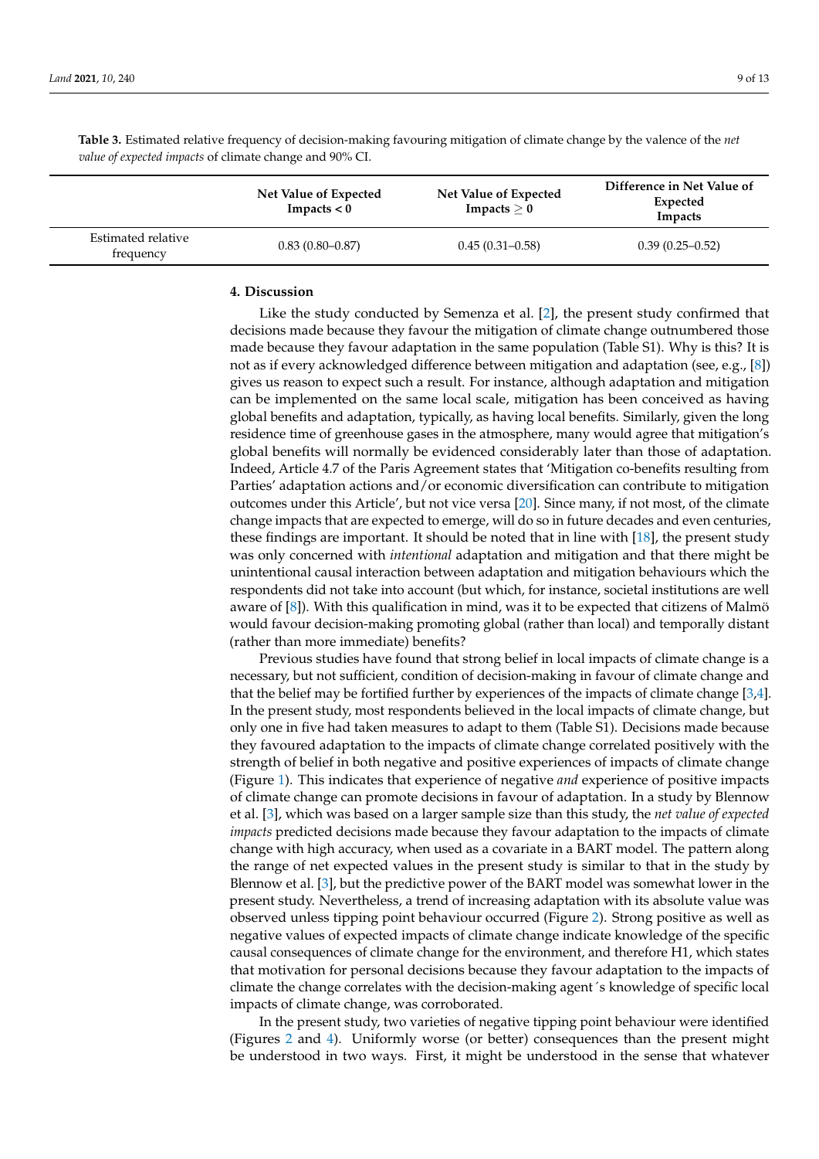<span id="page-8-0"></span>**Table 3.** Estimated relative frequency of decision-making favouring mitigation of climate change by the valence of the *net value of expected impacts* of climate change and 90% CI.

|                                 | Net Value of Expected<br>Impacts $< 0$ | Net Value of Expected<br>Impacts $\geq 0$ | Difference in Net Value of<br>Expected<br>Impacts |
|---------------------------------|----------------------------------------|-------------------------------------------|---------------------------------------------------|
| Estimated relative<br>frequency | $0.83(0.80 - 0.87)$                    | $0.45(0.31-0.58)$                         | $0.39(0.25-0.52)$                                 |

#### **4. Discussion**

Like the study conducted by Semenza et al. [\[2\]](#page-12-1), the present study confirmed that decisions made because they favour the mitigation of climate change outnumbered those made because they favour adaptation in the same population (Table S1). Why is this? It is not as if every acknowledged difference between mitigation and adaptation (see, e.g., [\[8\]](#page-12-7)) gives us reason to expect such a result. For instance, although adaptation and mitigation can be implemented on the same local scale, mitigation has been conceived as having global benefits and adaptation, typically, as having local benefits. Similarly, given the long residence time of greenhouse gases in the atmosphere, many would agree that mitigation's global benefits will normally be evidenced considerably later than those of adaptation. Indeed, Article 4.7 of the Paris Agreement states that 'Mitigation co-benefits resulting from Parties' adaptation actions and/or economic diversification can contribute to mitigation outcomes under this Article', but not vice versa [\[20\]](#page-12-19). Since many, if not most, of the climate change impacts that are expected to emerge, will do so in future decades and even centuries, these findings are important. It should be noted that in line with [\[18\]](#page-12-17), the present study was only concerned with *intentional* adaptation and mitigation and that there might be unintentional causal interaction between adaptation and mitigation behaviours which the respondents did not take into account (but which, for instance, societal institutions are well aware of [\[8\]](#page-12-7)). With this qualification in mind, was it to be expected that citizens of Malmö would favour decision-making promoting global (rather than local) and temporally distant (rather than more immediate) benefits?

Previous studies have found that strong belief in local impacts of climate change is a necessary, but not sufficient, condition of decision-making in favour of climate change and that the belief may be fortified further by experiences of the impacts of climate change [\[3](#page-12-2)[,4\]](#page-12-3). In the present study, most respondents believed in the local impacts of climate change, but only one in five had taken measures to adapt to them (Table S1). Decisions made because they favoured adaptation to the impacts of climate change correlated positively with the strength of belief in both negative and positive experiences of impacts of climate change (Figure [1\)](#page-5-0). This indicates that experience of negative *and* experience of positive impacts of climate change can promote decisions in favour of adaptation. In a study by Blennow et al. [\[3\]](#page-12-2), which was based on a larger sample size than this study, the *net value of expected impacts* predicted decisions made because they favour adaptation to the impacts of climate change with high accuracy, when used as a covariate in a BART model. The pattern along the range of net expected values in the present study is similar to that in the study by Blennow et al. [\[3\]](#page-12-2), but the predictive power of the BART model was somewhat lower in the present study. Nevertheless, a trend of increasing adaptation with its absolute value was observed unless tipping point behaviour occurred (Figure [2\)](#page-6-0). Strong positive as well as negative values of expected impacts of climate change indicate knowledge of the specific causal consequences of climate change for the environment, and therefore H1, which states that motivation for personal decisions because they favour adaptation to the impacts of climate the change correlates with the decision-making agent´s knowledge of specific local impacts of climate change, was corroborated.

In the present study, two varieties of negative tipping point behaviour were identified (Figures [2](#page-6-0) and [4\)](#page-7-1). Uniformly worse (or better) consequences than the present might be understood in two ways. First, it might be understood in the sense that whatever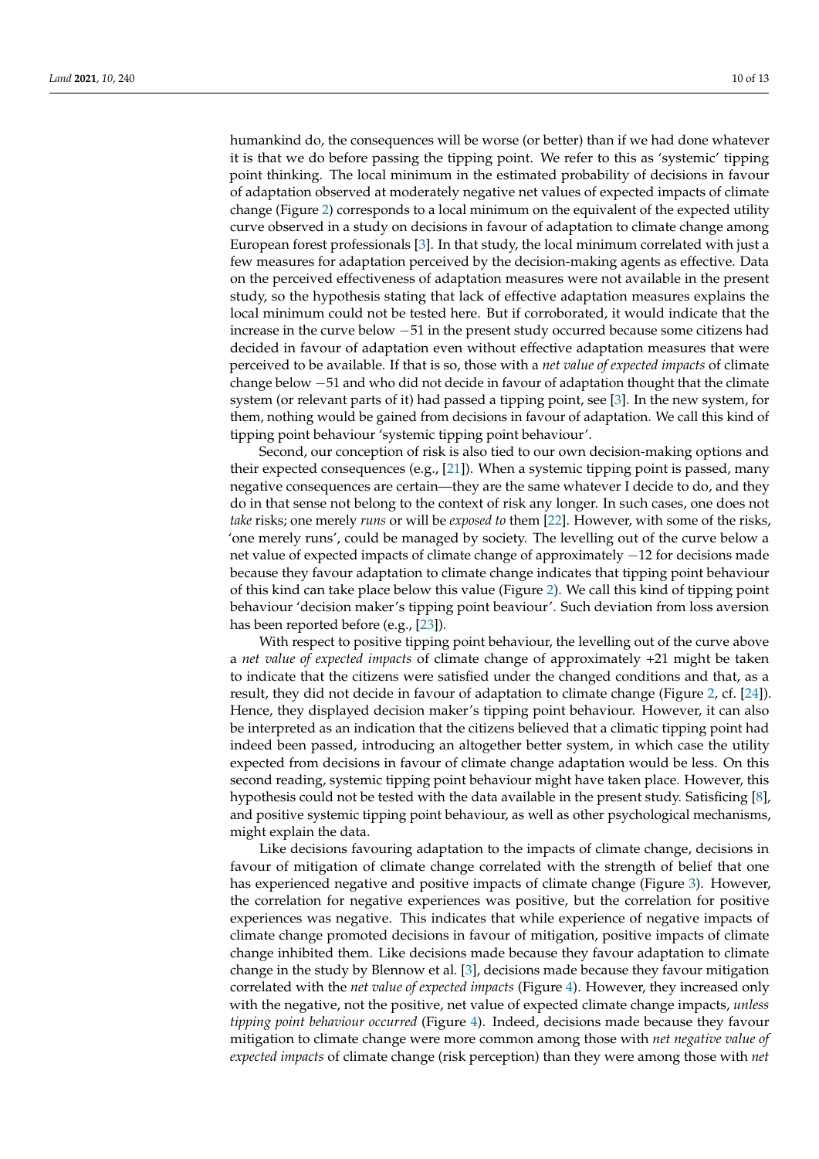humankind do, the consequences will be worse (or better) than if we had done whatever it is that we do before passing the tipping point. We refer to this as 'systemic' tipping point thinking. The local minimum in the estimated probability of decisions in favour of adaptation observed at moderately negative net values of expected impacts of climate change (Figure [2\)](#page-6-0) corresponds to a local minimum on the equivalent of the expected utility curve observed in a study on decisions in favour of adaptation to climate change among European forest professionals [\[3\]](#page-12-2). In that study, the local minimum correlated with just a few measures for adaptation perceived by the decision-making agents as effective. Data on the perceived effectiveness of adaptation measures were not available in the present study, so the hypothesis stating that lack of effective adaptation measures explains the local minimum could not be tested here. But if corroborated, it would indicate that the increase in the curve below −51 in the present study occurred because some citizens had decided in favour of adaptation even without effective adaptation measures that were perceived to be available. If that is so, those with a *net value of expected impacts* of climate change below −51 and who did not decide in favour of adaptation thought that the climate system (or relevant parts of it) had passed a tipping point, see [\[3\]](#page-12-2). In the new system, for them, nothing would be gained from decisions in favour of adaptation. We call this kind of tipping point behaviour 'systemic tipping point behaviour'.

Second, our conception of risk is also tied to our own decision-making options and their expected consequences (e.g., [\[21\]](#page-12-20)). When a systemic tipping point is passed, many negative consequences are certain—they are the same whatever I decide to do, and they do in that sense not belong to the context of risk any longer. In such cases, one does not *take* risks; one merely *runs* or will be *exposed to* them [\[22\]](#page-12-21). However, with some of the risks, 'one merely runs', could be managed by society. The levelling out of the curve below a net value of expected impacts of climate change of approximately −12 for decisions made because they favour adaptation to climate change indicates that tipping point behaviour of this kind can take place below this value (Figure [2\)](#page-6-0). We call this kind of tipping point behaviour 'decision maker's tipping point beaviour'. Such deviation from loss aversion has been reported before (e.g., [\[23\]](#page-12-22)).

With respect to positive tipping point behaviour, the levelling out of the curve above a *net value of expected impacts* of climate change of approximately +21 might be taken to indicate that the citizens were satisfied under the changed conditions and that, as a result, they did not decide in favour of adaptation to climate change (Figure [2,](#page-6-0) cf. [\[24\]](#page-12-23)). Hence, they displayed decision maker's tipping point behaviour. However, it can also be interpreted as an indication that the citizens believed that a climatic tipping point had indeed been passed, introducing an altogether better system, in which case the utility expected from decisions in favour of climate change adaptation would be less. On this second reading, systemic tipping point behaviour might have taken place. However, this hypothesis could not be tested with the data available in the present study. Satisficing [\[8\]](#page-12-7), and positive systemic tipping point behaviour, as well as other psychological mechanisms, might explain the data.

Like decisions favouring adaptation to the impacts of climate change, decisions in favour of mitigation of climate change correlated with the strength of belief that one has experienced negative and positive impacts of climate change (Figure [3\)](#page-7-0). However, the correlation for negative experiences was positive, but the correlation for positive experiences was negative. This indicates that while experience of negative impacts of climate change promoted decisions in favour of mitigation, positive impacts of climate change inhibited them. Like decisions made because they favour adaptation to climate change in the study by Blennow et al. [\[3\]](#page-12-2), decisions made because they favour mitigation correlated with the *net value of expected impacts* (Figure [4\)](#page-7-1). However, they increased only with the negative, not the positive, net value of expected climate change impacts, *unless tipping point behaviour occurred* (Figure [4\)](#page-7-1). Indeed, decisions made because they favour mitigation to climate change were more common among those with *net negative value of expected impacts* of climate change (risk perception) than they were among those with *net*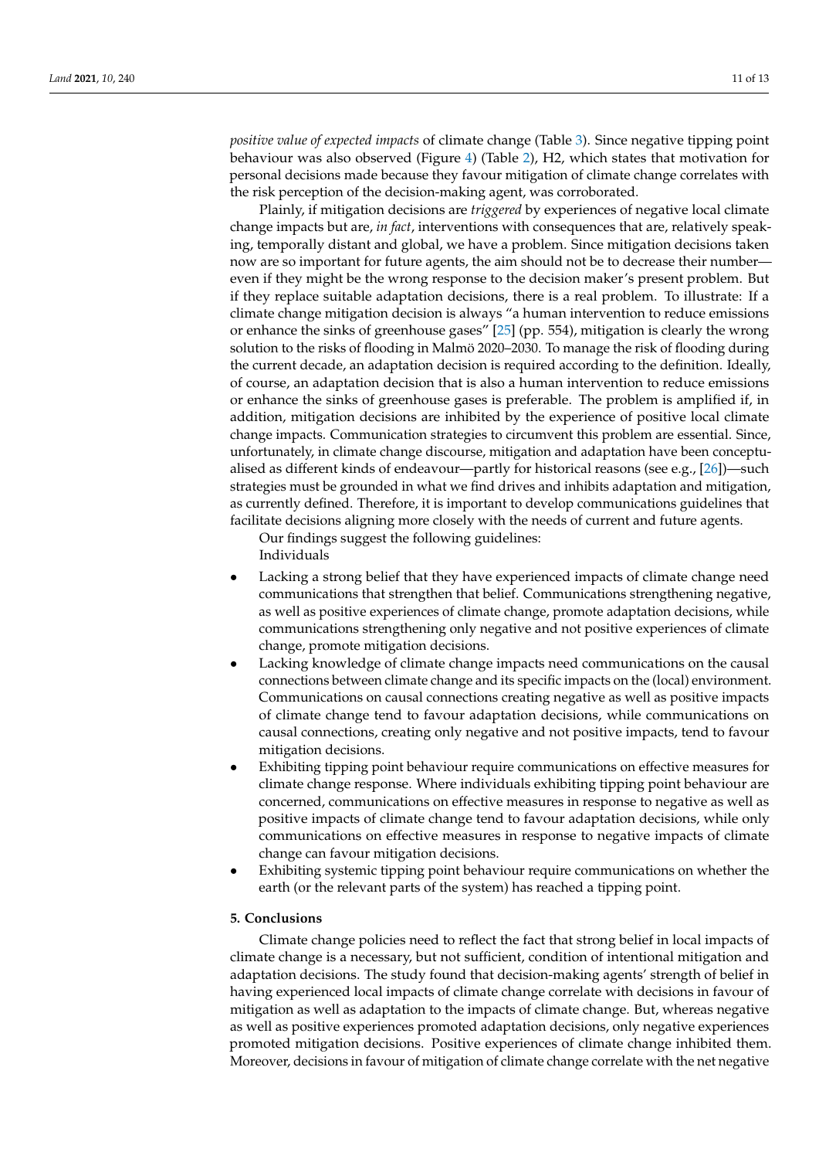*positive value of expected impacts* of climate change (Table [3\)](#page-8-0). Since negative tipping point behaviour was also observed (Figure [4\)](#page-7-1) (Table [2\)](#page-5-1), H2, which states that motivation for personal decisions made because they favour mitigation of climate change correlates with the risk perception of the decision-making agent, was corroborated.

Plainly, if mitigation decisions are *triggered* by experiences of negative local climate change impacts but are, *in fact*, interventions with consequences that are, relatively speaking, temporally distant and global, we have a problem. Since mitigation decisions taken now are so important for future agents, the aim should not be to decrease their number even if they might be the wrong response to the decision maker's present problem. But if they replace suitable adaptation decisions, there is a real problem. To illustrate: If a climate change mitigation decision is always "a human intervention to reduce emissions or enhance the sinks of greenhouse gases" [\[25\]](#page-12-24) (pp. 554), mitigation is clearly the wrong solution to the risks of flooding in Malmö 2020–2030. To manage the risk of flooding during the current decade, an adaptation decision is required according to the definition. Ideally, of course, an adaptation decision that is also a human intervention to reduce emissions or enhance the sinks of greenhouse gases is preferable. The problem is amplified if, in addition, mitigation decisions are inhibited by the experience of positive local climate change impacts. Communication strategies to circumvent this problem are essential. Since, unfortunately, in climate change discourse, mitigation and adaptation have been conceptualised as different kinds of endeavour—partly for historical reasons (see e.g., [\[26\]](#page-12-25))—such strategies must be grounded in what we find drives and inhibits adaptation and mitigation, as currently defined. Therefore, it is important to develop communications guidelines that facilitate decisions aligning more closely with the needs of current and future agents.

Our findings suggest the following guidelines: Individuals

- Lacking a strong belief that they have experienced impacts of climate change need communications that strengthen that belief. Communications strengthening negative, as well as positive experiences of climate change, promote adaptation decisions, while communications strengthening only negative and not positive experiences of climate change, promote mitigation decisions.
- Lacking knowledge of climate change impacts need communications on the causal connections between climate change and its specific impacts on the (local) environment. Communications on causal connections creating negative as well as positive impacts of climate change tend to favour adaptation decisions, while communications on causal connections, creating only negative and not positive impacts, tend to favour mitigation decisions.
- Exhibiting tipping point behaviour require communications on effective measures for climate change response. Where individuals exhibiting tipping point behaviour are concerned, communications on effective measures in response to negative as well as positive impacts of climate change tend to favour adaptation decisions, while only communications on effective measures in response to negative impacts of climate change can favour mitigation decisions.
- Exhibiting systemic tipping point behaviour require communications on whether the earth (or the relevant parts of the system) has reached a tipping point.

#### **5. Conclusions**

Climate change policies need to reflect the fact that strong belief in local impacts of climate change is a necessary, but not sufficient, condition of intentional mitigation and adaptation decisions. The study found that decision-making agents' strength of belief in having experienced local impacts of climate change correlate with decisions in favour of mitigation as well as adaptation to the impacts of climate change. But, whereas negative as well as positive experiences promoted adaptation decisions, only negative experiences promoted mitigation decisions. Positive experiences of climate change inhibited them. Moreover, decisions in favour of mitigation of climate change correlate with the net negative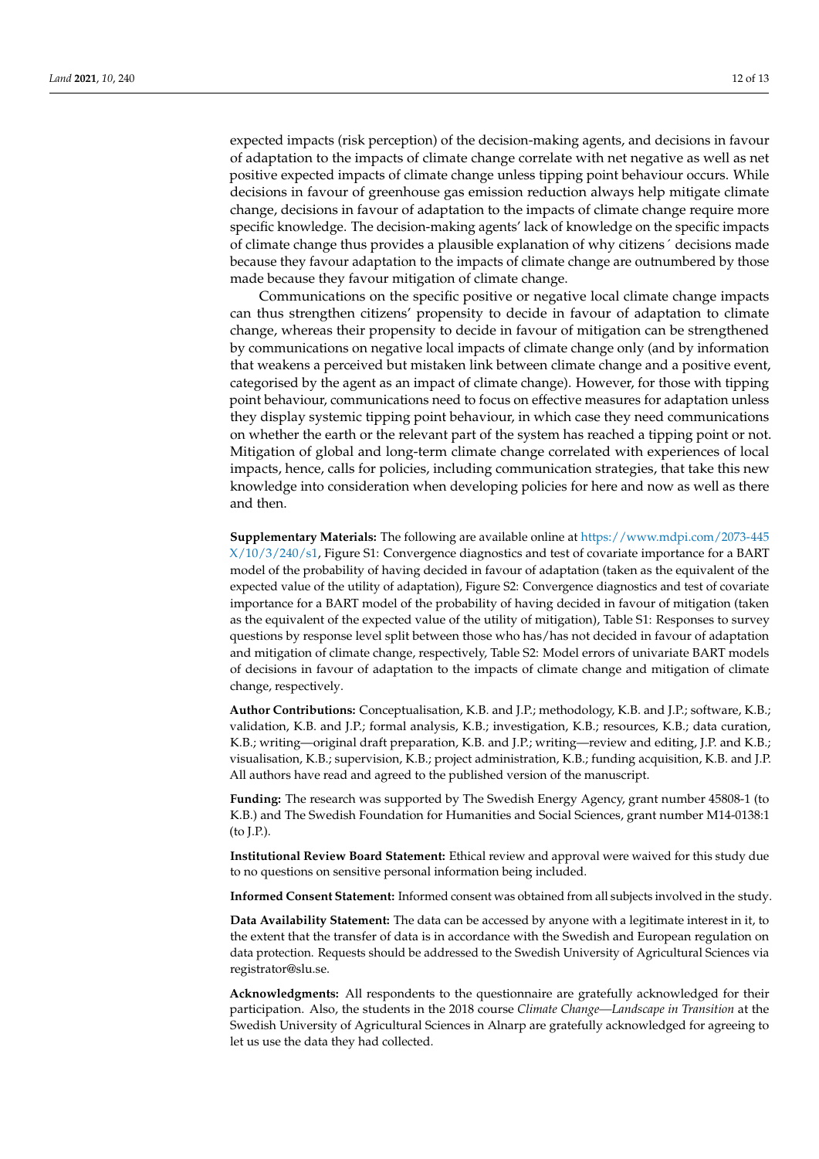expected impacts (risk perception) of the decision-making agents, and decisions in favour of adaptation to the impacts of climate change correlate with net negative as well as net positive expected impacts of climate change unless tipping point behaviour occurs. While decisions in favour of greenhouse gas emission reduction always help mitigate climate change, decisions in favour of adaptation to the impacts of climate change require more specific knowledge. The decision-making agents' lack of knowledge on the specific impacts of climate change thus provides a plausible explanation of why citizens´ decisions made because they favour adaptation to the impacts of climate change are outnumbered by those made because they favour mitigation of climate change.

Communications on the specific positive or negative local climate change impacts can thus strengthen citizens' propensity to decide in favour of adaptation to climate change, whereas their propensity to decide in favour of mitigation can be strengthened by communications on negative local impacts of climate change only (and by information that weakens a perceived but mistaken link between climate change and a positive event, categorised by the agent as an impact of climate change). However, for those with tipping point behaviour, communications need to focus on effective measures for adaptation unless they display systemic tipping point behaviour, in which case they need communications on whether the earth or the relevant part of the system has reached a tipping point or not. Mitigation of global and long-term climate change correlated with experiences of local impacts, hence, calls for policies, including communication strategies, that take this new knowledge into consideration when developing policies for here and now as well as there and then.

**Supplementary Materials:** The following are available online at [https://www.mdpi.com/2073-445](https://www.mdpi.com/2073-445X/10/3/240/s1)  $X/10/3/240/s1$ , Figure S1: Convergence diagnostics and test of covariate importance for a BART model of the probability of having decided in favour of adaptation (taken as the equivalent of the expected value of the utility of adaptation), Figure S2: Convergence diagnostics and test of covariate importance for a BART model of the probability of having decided in favour of mitigation (taken as the equivalent of the expected value of the utility of mitigation), Table S1: Responses to survey questions by response level split between those who has/has not decided in favour of adaptation and mitigation of climate change, respectively, Table S2: Model errors of univariate BART models of decisions in favour of adaptation to the impacts of climate change and mitigation of climate change, respectively.

**Author Contributions:** Conceptualisation, K.B. and J.P.; methodology, K.B. and J.P.; software, K.B.; validation, K.B. and J.P.; formal analysis, K.B.; investigation, K.B.; resources, K.B.; data curation, K.B.; writing—original draft preparation, K.B. and J.P.; writing—review and editing, J.P. and K.B.; visualisation, K.B.; supervision, K.B.; project administration, K.B.; funding acquisition, K.B. and J.P. All authors have read and agreed to the published version of the manuscript.

**Funding:** The research was supported by The Swedish Energy Agency, grant number 45808-1 (to K.B.) and The Swedish Foundation for Humanities and Social Sciences, grant number M14-0138:1 (to J.P.).

**Institutional Review Board Statement:** Ethical review and approval were waived for this study due to no questions on sensitive personal information being included.

**Informed Consent Statement:** Informed consent was obtained from all subjects involved in the study.

**Data Availability Statement:** The data can be accessed by anyone with a legitimate interest in it, to the extent that the transfer of data is in accordance with the Swedish and European regulation on data protection. Requests should be addressed to the Swedish University of Agricultural Sciences via registrator@slu.se.

**Acknowledgments:** All respondents to the questionnaire are gratefully acknowledged for their participation. Also, the students in the 2018 course *Climate Change—Landscape in Transition* at the Swedish University of Agricultural Sciences in Alnarp are gratefully acknowledged for agreeing to let us use the data they had collected.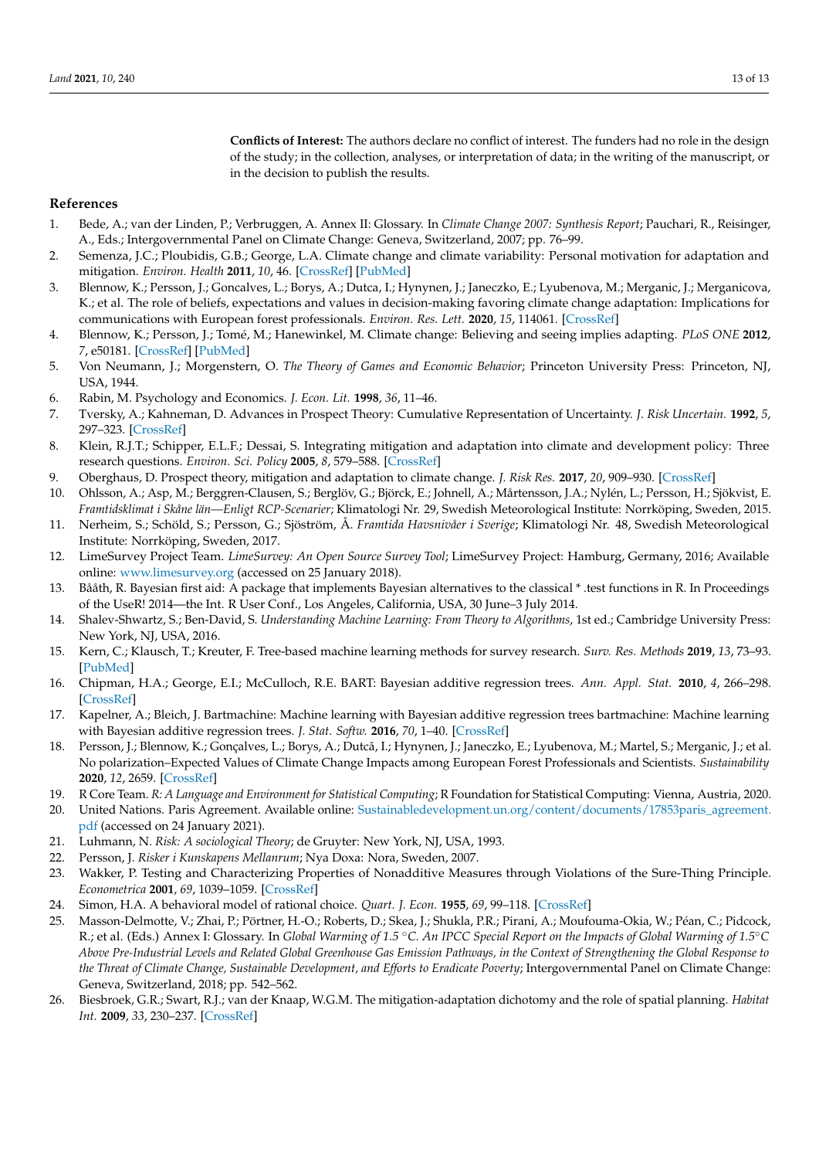**Conflicts of Interest:** The authors declare no conflict of interest. The funders had no role in the design of the study; in the collection, analyses, or interpretation of data; in the writing of the manuscript, or in the decision to publish the results.

### **References**

- <span id="page-12-0"></span>1. Bede, A.; van der Linden, P.; Verbruggen, A. Annex II: Glossary. In *Climate Change 2007: Synthesis Report*; Pauchari, R., Reisinger, A., Eds.; Intergovernmental Panel on Climate Change: Geneva, Switzerland, 2007; pp. 76–99.
- <span id="page-12-1"></span>2. Semenza, J.C.; Ploubidis, G.B.; George, L.A. Climate change and climate variability: Personal motivation for adaptation and mitigation. *Environ. Health* **2011**, *10*, 46. [\[CrossRef\]](http://doi.org/10.1186/1476-069X-10-46) [\[PubMed\]](http://www.ncbi.nlm.nih.gov/pubmed/21600004)
- <span id="page-12-2"></span>3. Blennow, K.; Persson, J.; Goncalves, L.; Borys, A.; Dutca, I.; Hynynen, J.; Janeczko, E.; Lyubenova, M.; Merganic, J.; Merganicova, K.; et al. The role of beliefs, expectations and values in decision-making favoring climate change adaptation: Implications for communications with European forest professionals. *Environ. Res. Lett.* **2020**, *15*, 114061. [\[CrossRef\]](http://doi.org/10.1088/1748-9326/abc2fa)
- <span id="page-12-3"></span>4. Blennow, K.; Persson, J.; Tomé, M.; Hanewinkel, M. Climate change: Believing and seeing implies adapting. *PLoS ONE* **2012**, *7*, e50181. [\[CrossRef\]](http://doi.org/10.1371/journal.pone.0050182) [\[PubMed\]](http://www.ncbi.nlm.nih.gov/pubmed/23185568)
- <span id="page-12-4"></span>5. Von Neumann, J.; Morgenstern, O. *The Theory of Games and Economic Behavior*; Princeton University Press: Princeton, NJ, USA, 1944.
- <span id="page-12-5"></span>6. Rabin, M. Psychology and Economics. *J. Econ. Lit.* **1998**, *36*, 11–46.
- <span id="page-12-6"></span>7. Tversky, A.; Kahneman, D. Advances in Prospect Theory: Cumulative Representation of Uncertainty. *J. Risk Uncertain.* **1992**, *5*, 297–323. [\[CrossRef\]](http://doi.org/10.1007/BF00122574)
- <span id="page-12-7"></span>8. Klein, R.J.T.; Schipper, E.L.F.; Dessai, S. Integrating mitigation and adaptation into climate and development policy: Three research questions. *Environ. Sci. Policy* **2005**, *8*, 579–588. [\[CrossRef\]](http://doi.org/10.1016/j.envsci.2005.06.010)
- <span id="page-12-8"></span>9. Oberghaus, D. Prospect theory, mitigation and adaptation to climate change. *J. Risk Res.* **2017**, *20*, 909–930. [\[CrossRef\]](http://doi.org/10.1080/13669877.2015.1121907)
- <span id="page-12-9"></span>10. Ohlsson, A.; Asp, M.; Berggren-Clausen, S.; Berglöv, G.; Björck, E.; Johnell, A.; Mårtensson, J.A.; Nylén, L.; Persson, H.; Sjökvist, E. *Framtidsklimat i Skåne län—Enligt RCP-Scenarier*; Klimatologi Nr. 29, Swedish Meteorological Institute: Norrköping, Sweden, 2015.
- <span id="page-12-10"></span>11. Nerheim, S.; Schöld, S.; Persson, G.; Sjöström, Å. *Framtida Havsnivåer i Sverige*; Klimatologi Nr. 48, Swedish Meteorological Institute: Norrköping, Sweden, 2017.
- <span id="page-12-11"></span>12. LimeSurvey Project Team. *LimeSurvey: An Open Source Survey Tool*; LimeSurvey Project: Hamburg, Germany, 2016; Available online: <www.limesurvey.org> (accessed on 25 January 2018).
- <span id="page-12-12"></span>13. Bååth, R. Bayesian first aid: A package that implements Bayesian alternatives to the classical \* .test functions in R. In Proceedings of the UseR! 2014—the Int. R User Conf., Los Angeles, California, USA, 30 June–3 July 2014.
- <span id="page-12-13"></span>14. Shalev-Shwartz, S.; Ben-David, S. *Understanding Machine Learning: From Theory to Algorithms*, 1st ed.; Cambridge University Press: New York, NJ, USA, 2016.
- <span id="page-12-14"></span>15. Kern, C.; Klausch, T.; Kreuter, F. Tree-based machine learning methods for survey research. *Surv. Res. Methods* **2019**, *13*, 73–93. [\[PubMed\]](http://www.ncbi.nlm.nih.gov/pubmed/32802211)
- <span id="page-12-15"></span>16. Chipman, H.A.; George, E.I.; McCulloch, R.E. BART: Bayesian additive regression trees. *Ann. Appl. Stat.* **2010**, *4*, 266–298. [\[CrossRef\]](http://doi.org/10.1214/09-AOAS285)
- <span id="page-12-16"></span>17. Kapelner, A.; Bleich, J. Bartmachine: Machine learning with Bayesian additive regression trees bartmachine: Machine learning with Bayesian additive regression trees. *J. Stat. Softw.* **2016**, *70*, 1–40. [\[CrossRef\]](http://doi.org/10.18637/jss.v070.i04)
- <span id="page-12-17"></span>18. Persson, J.; Blennow, K.; Gonçalves, L.; Borys, A.; Dutcă, I.; Hynynen, J.; Janeczko, E.; Lyubenova, M.; Martel, S.; Merganic, J.; et al. No polarization–Expected Values of Climate Change Impacts among European Forest Professionals and Scientists. *Sustainability* **2020**, *12*, 2659. [\[CrossRef\]](http://doi.org/10.3390/su12072659)
- <span id="page-12-18"></span>19. R Core Team. *R: A Language and Environment for Statistical Computing*; R Foundation for Statistical Computing: Vienna, Austria, 2020.
- <span id="page-12-19"></span>20. United Nations. Paris Agreement. Available online: [Sustainabledevelopment.un.org/content/documents/17853paris\\_agreement.](Sustainabledevelopment.un.org/content/documents/17853paris_agreement.pdf) [pdf](Sustainabledevelopment.un.org/content/documents/17853paris_agreement.pdf) (accessed on 24 January 2021).
- <span id="page-12-20"></span>21. Luhmann, N. *Risk: A sociological Theory*; de Gruyter: New York, NJ, USA, 1993.
- <span id="page-12-21"></span>22. Persson, J. *Risker i Kunskapens Mellanrum*; Nya Doxa: Nora, Sweden, 2007.
- <span id="page-12-22"></span>23. Wakker, P. Testing and Characterizing Properties of Nonadditive Measures through Violations of the Sure-Thing Principle. *Econometrica* **2001**, *69*, 1039–1059. [\[CrossRef\]](http://doi.org/10.1111/1468-0262.00229)
- <span id="page-12-23"></span>24. Simon, H.A. A behavioral model of rational choice. *Quart. J. Econ.* **1955**, *69*, 99–118. [\[CrossRef\]](http://doi.org/10.2307/1884852)
- <span id="page-12-24"></span>25. Masson-Delmotte, V.; Zhai, P.; Pörtner, H.-O.; Roberts, D.; Skea, J.; Shukla, P.R.; Pirani, A.; Moufouma-Okia, W.; Péan, C.; Pidcock, R.; et al. (Eds.) Annex I: Glossary. In *Global Warming of 1.5* ◦*C. An IPCC Special Report on the Impacts of Global Warming of 1.5*◦*C Above Pre-Industrial Levels and Related Global Greenhouse Gas Emission Pathways, in the Context of Strengthening the Global Response to the Threat of Climate Change, Sustainable Development, and Efforts to Eradicate Poverty*; Intergovernmental Panel on Climate Change: Geneva, Switzerland, 2018; pp. 542–562.
- <span id="page-12-25"></span>26. Biesbroek, G.R.; Swart, R.J.; van der Knaap, W.G.M. The mitigation-adaptation dichotomy and the role of spatial planning. *Habitat Int.* **2009**, *33*, 230–237. [\[CrossRef\]](http://doi.org/10.1016/j.habitatint.2008.10.001)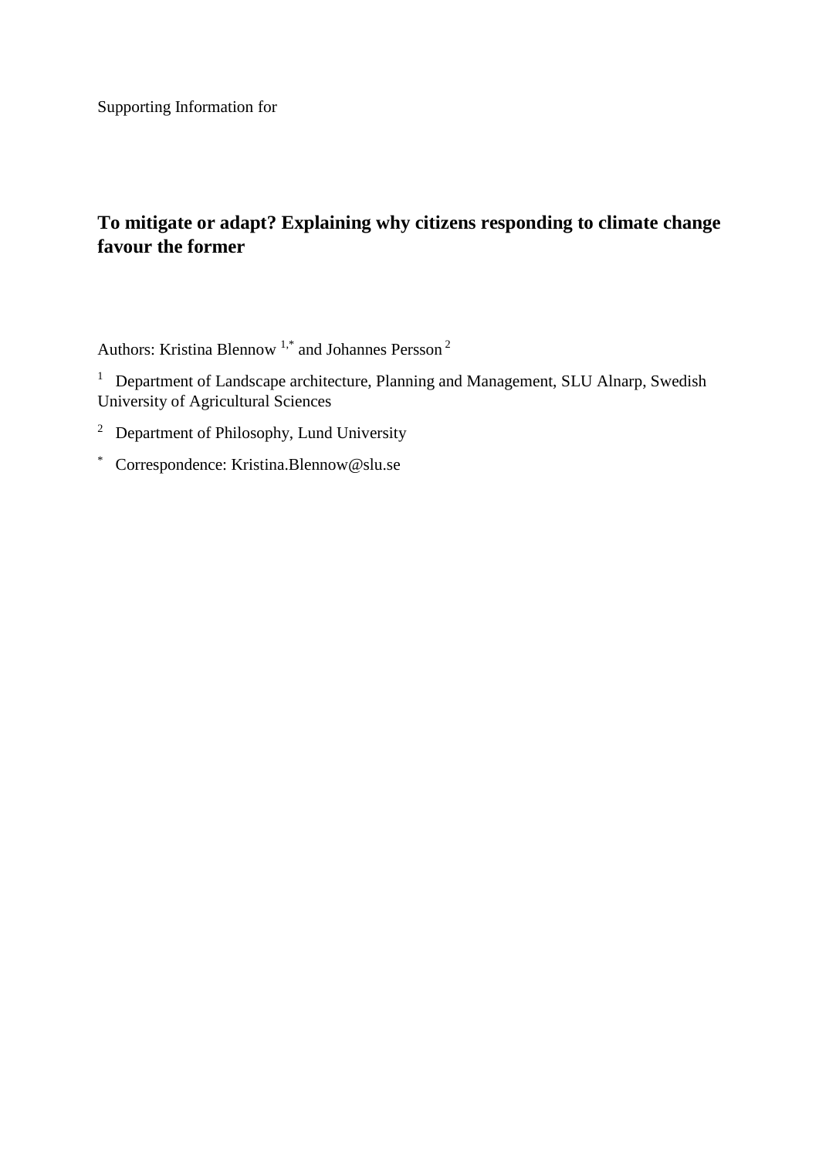Supporting Information for

# **To mitigate or adapt? Explaining why citizens responding to climate change favour the former**

Authors: Kristina Blennow 1,\* and Johannes Persson <sup>2</sup>

<sup>1</sup> Department of Landscape architecture, Planning and Management, SLU Alnarp, Swedish University of Agricultural Sciences

- <sup>2</sup> Department of Philosophy, Lund University
- \* Correspondence: Kristina.Blennow@slu.se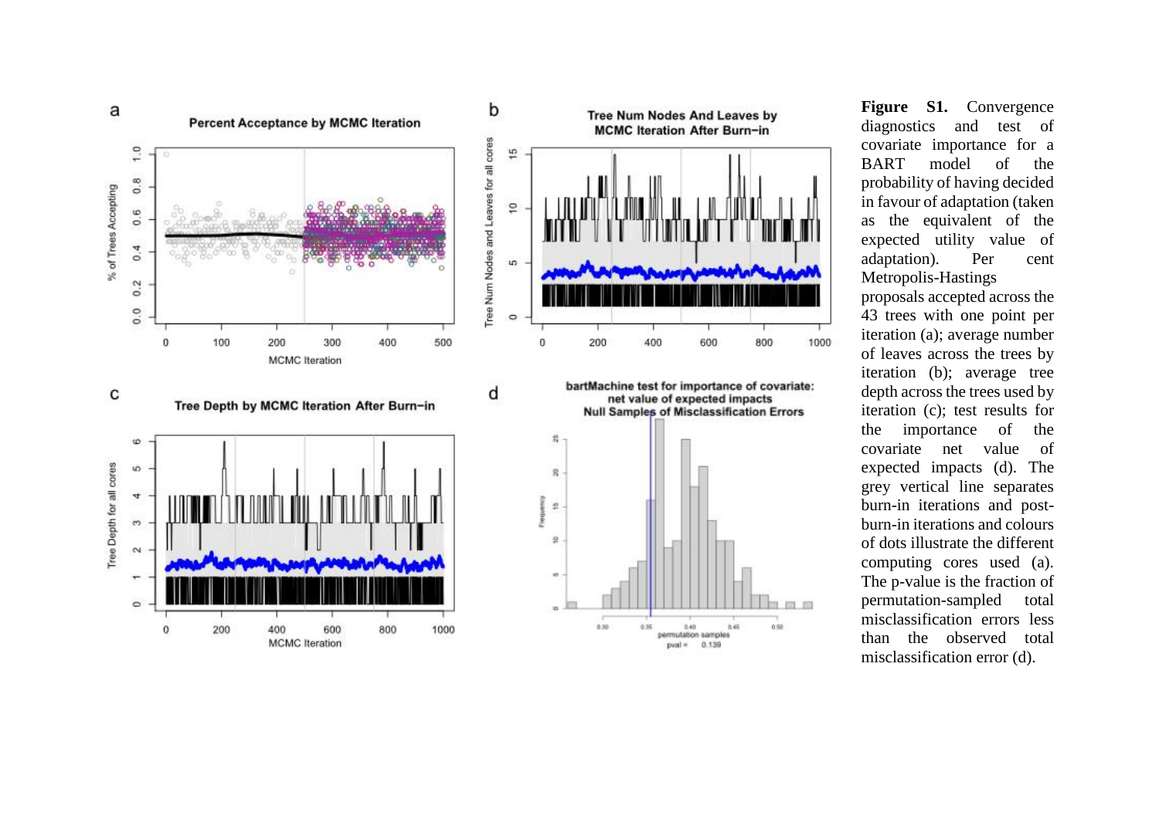

**Figure S1.** Convergence diagnostics and test of covariate importance for a BART model of the probability of having decided in favour of adaptation (taken as the equivalent of the expected utility value of adaptation). Per cent Metropolis-Hastings proposals accepted across the 43 trees with one point per

iteration (a); average number of leaves across the trees by iteration (b); average tree depth across the trees used by iteration (c); test results for the importance of the covariate net value of expected impacts (d). The grey vertical line separates burn-in iterations and postburn-in iterations and colours of dots illustrate the different computing cores used (a). The p-value is the fraction of permutation-sampled total misclassification errors less than the observed total misclassification error (d).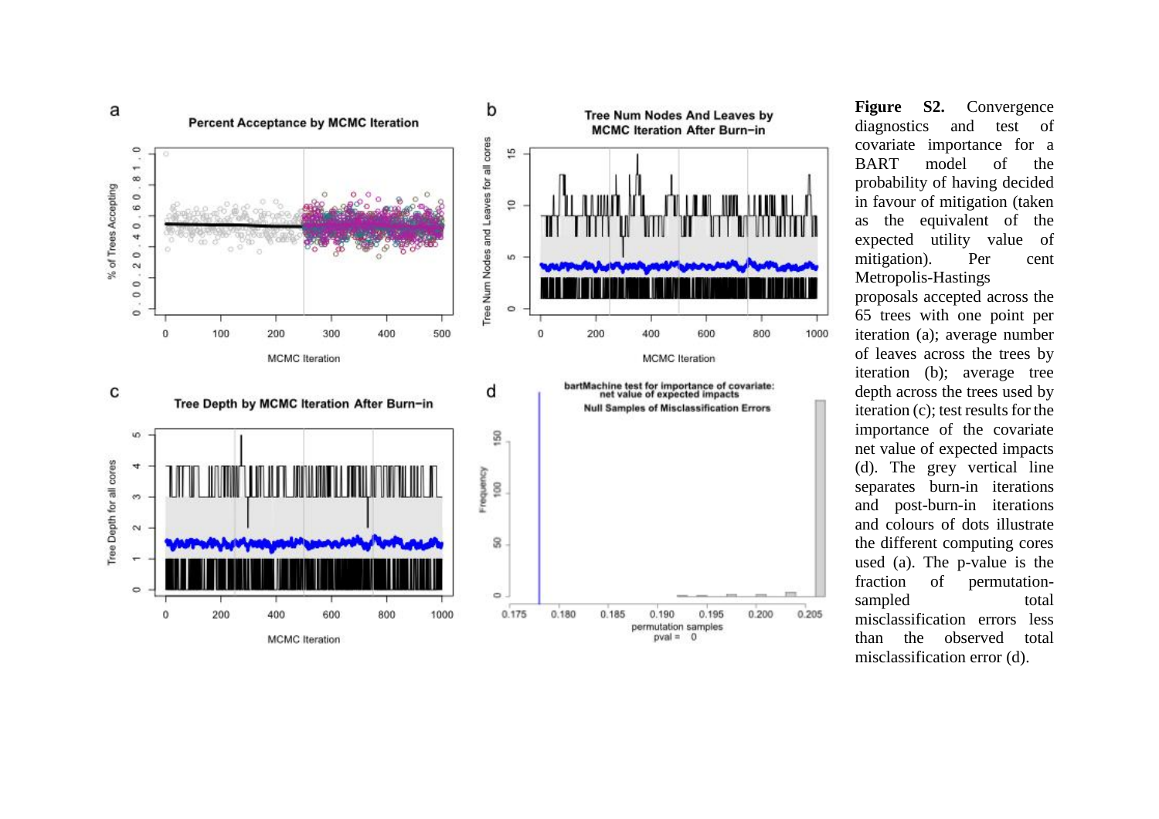

**Figure S2.** Convergence diagnostics and test of covariate importance for a BART model of the probability of having decided in favour of mitigation (taken as the equivalent of the expected utility value of mitigation). Per cent Metropolis-Hastings

proposals accepted across the 65 trees with one point per iteration (a); average number of leaves across the trees by iteration (b); average tree depth across the trees used by iteration (c); test results for the importance of the covariate net value of expected impacts (d). The grey vertical line separates burn-in iterations and post-burn-in iterations and colours of dots illustrate the different computing cores used (a). The p-value is the fraction of permutationsampled total misclassification errors less than the observed total misclassification error (d).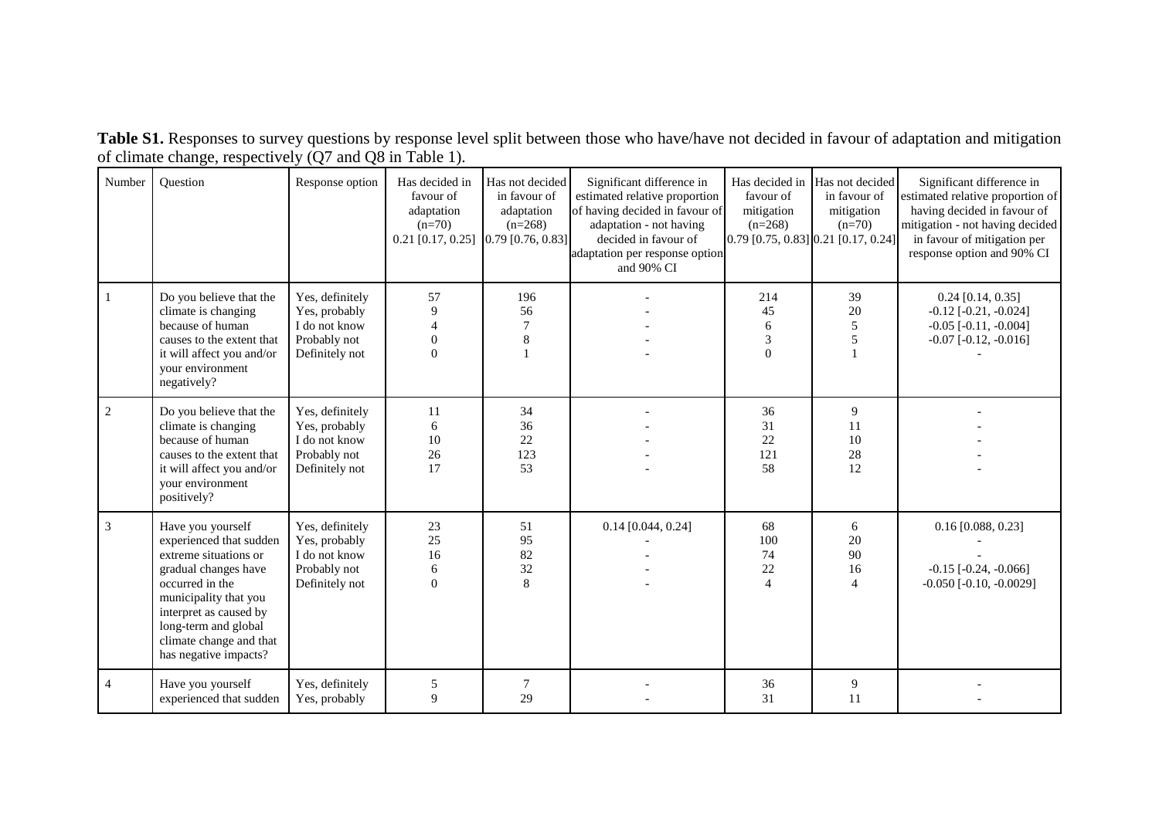**Table S1.** Responses to survey questions by response level split between those who have/have not decided in favour of adaptation and mitigation of climate change, respectively (Q7 and Q8 in Table 1).

| Number | Ouestion                                                                                                                                                                                                                                        | Response option                                                                     | Has decided in<br>favour of<br>adaptation<br>$(n=70)$<br>$0.21$ [0.17, 0.25] [0.79 [0.76, 0.83] | Has not decided<br>in favour of<br>adaptation<br>$(n=268)$ | Significant difference in<br>estimated relative proportion<br>of having decided in favour of<br>adaptation - not having<br>decided in favour of<br>adaptation per response option<br>and 90% CI | favour of<br>mitigation<br>$(n=268)$<br>0.79 [0.75, 0.83] 0.21 [0.17, 0.24] | Has decided in Has not decided<br>in favour of<br>mitigation<br>$(n=70)$ | Significant difference in<br>estimated relative proportion of<br>having decided in favour of<br>mitigation - not having decided<br>in favour of mitigation per<br>response option and 90% CI |
|--------|-------------------------------------------------------------------------------------------------------------------------------------------------------------------------------------------------------------------------------------------------|-------------------------------------------------------------------------------------|-------------------------------------------------------------------------------------------------|------------------------------------------------------------|-------------------------------------------------------------------------------------------------------------------------------------------------------------------------------------------------|-----------------------------------------------------------------------------|--------------------------------------------------------------------------|----------------------------------------------------------------------------------------------------------------------------------------------------------------------------------------------|
|        | Do you believe that the<br>climate is changing<br>because of human<br>causes to the extent that<br>it will affect you and/or<br>your environment<br>negatively?                                                                                 | Yes, definitely<br>Yes, probably<br>I do not know<br>Probably not<br>Definitely not | 57<br>9<br>$\overline{4}$<br>$\boldsymbol{0}$<br>$\Omega$                                       | 196<br>56<br>$\tau$<br>8                                   |                                                                                                                                                                                                 | 214<br>45<br>6<br>3<br>$\theta$                                             | 39<br>20<br>5<br>5                                                       | $0.24$ [0.14, 0.35]<br>$-0.12$ [ $-0.21, -0.024$ ]<br>$-0.05$ [ $-0.11, -0.004$ ]<br>$-0.07$ $[-0.12, -0.016]$                                                                               |
| 2      | Do you believe that the<br>climate is changing<br>because of human<br>causes to the extent that<br>it will affect you and/or<br>your environment<br>positively?                                                                                 | Yes, definitely<br>Yes, probably<br>I do not know<br>Probably not<br>Definitely not | 11<br>6<br>10<br>26<br>17                                                                       | 34<br>36<br>22<br>123<br>53                                |                                                                                                                                                                                                 | 36<br>31<br>22<br>121<br>58                                                 | 9<br>11<br>10<br>28<br>12                                                |                                                                                                                                                                                              |
| 3      | Have you yourself<br>experienced that sudden<br>extreme situations or<br>gradual changes have<br>occurred in the<br>municipality that you<br>interpret as caused by<br>long-term and global<br>climate change and that<br>has negative impacts? | Yes, definitely<br>Yes, probably<br>I do not know<br>Probably not<br>Definitely not | 23<br>25<br>16<br>$\sqrt{6}$<br>$\mathbf{0}$                                                    | 51<br>95<br>82<br>32<br>8                                  | $0.14$ [0.044, 0.24]                                                                                                                                                                            | 68<br>100<br>74<br>22<br>$\overline{4}$                                     | 6<br>20<br>90<br>16<br>$\overline{4}$                                    | $0.16$ [0.088, 0.23]<br>$-0.15$ [ $-0.24$ , $-0.066$ ]<br>$-0.050$ [ $-0.10$ , $-0.0029$ ]                                                                                                   |
| 4      | Have you yourself<br>experienced that sudden                                                                                                                                                                                                    | Yes, definitely<br>Yes, probably                                                    | 5<br>9                                                                                          | $\overline{7}$<br>29                                       |                                                                                                                                                                                                 | 36<br>31                                                                    | 9<br>11                                                                  |                                                                                                                                                                                              |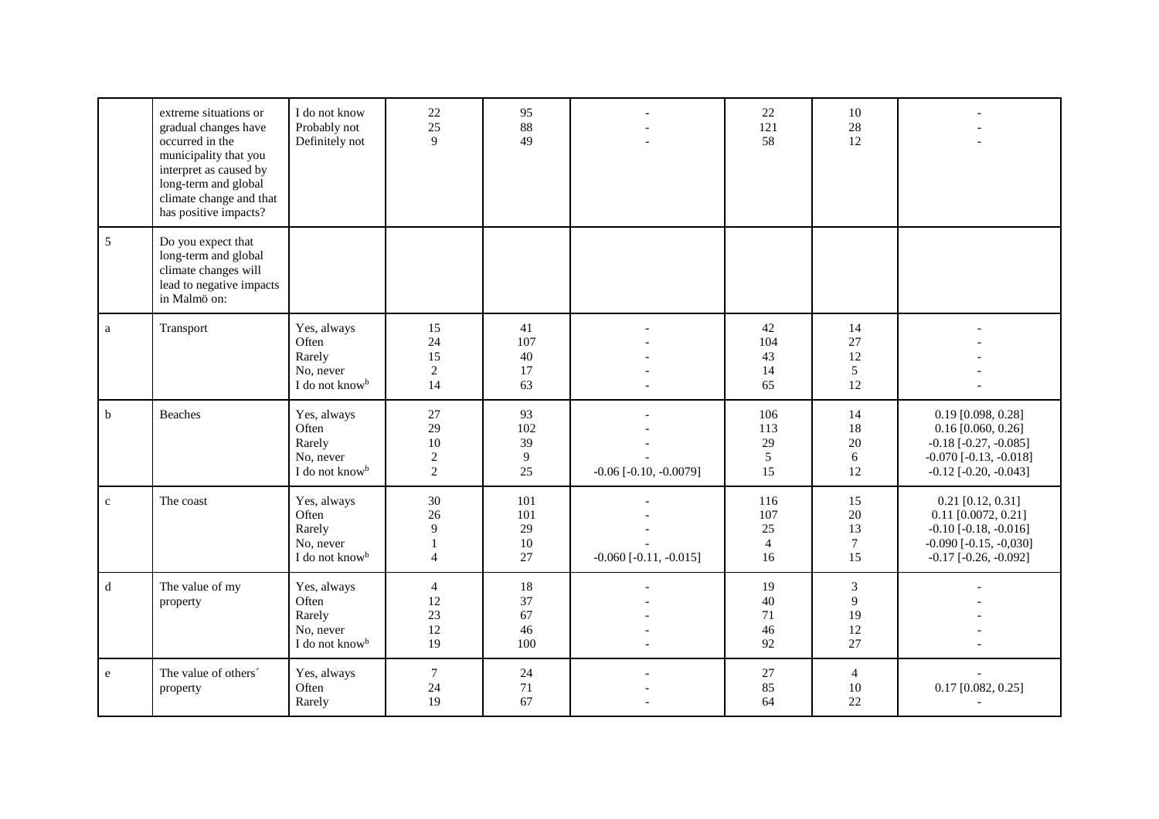|                | extreme situations or<br>gradual changes have<br>occurred in the<br>municipality that you<br>interpret as caused by<br>long-term and global<br>climate change and that<br>has positive impacts? | I do not know<br>Probably not<br>Definitely not                           | 22<br>25<br>9                                       | 95<br>88<br>49               |                                 | 22<br>121<br>58                          | 10<br>28<br>12                          |                                                                                                                                             |
|----------------|-------------------------------------------------------------------------------------------------------------------------------------------------------------------------------------------------|---------------------------------------------------------------------------|-----------------------------------------------------|------------------------------|---------------------------------|------------------------------------------|-----------------------------------------|---------------------------------------------------------------------------------------------------------------------------------------------|
| $\overline{5}$ | Do you expect that<br>long-term and global<br>climate changes will<br>lead to negative impacts<br>in Malmö on:                                                                                  |                                                                           |                                                     |                              |                                 |                                          |                                         |                                                                                                                                             |
| a              | Transport                                                                                                                                                                                       | Yes, always<br>Often<br>Rarely<br>No, never<br>I do not know <sup>b</sup> | 15<br>24<br>15<br>$\overline{2}$<br>14              | 41<br>107<br>40<br>17<br>63  |                                 | 42<br>104<br>43<br>14<br>65              | 14<br>27<br>12<br>5<br>12               |                                                                                                                                             |
| $\mathbf b$    | Beaches                                                                                                                                                                                         | Yes, always<br>Often<br>Rarely<br>No, never<br>I do not know <sup>b</sup> | 27<br>29<br>10<br>$\overline{c}$<br>$\overline{2}$  | 93<br>102<br>39<br>9<br>25   | $-0.06$ [ $-0.10$ , $-0.0079$ ] | 106<br>113<br>29<br>5<br>15              | 14<br>18<br>20<br>6<br>12               | $0.19$ [0.098, 0.28]<br>$0.16$ [0.060, 0.26]<br>$-0.18$ [ $-0.27, -0.085$ ]<br>$-0.070$ [ $-0.13, -0.018$ ]<br>$-0.12$ [ $-0.20, -0.043$ ]  |
| $\mathbf{c}$   | The coast                                                                                                                                                                                       | Yes, always<br>Often<br>Rarely<br>No, never<br>I do not know <sup>b</sup> | $30\,$<br>26<br>9<br>$\mathbf{1}$<br>$\overline{4}$ | 101<br>101<br>29<br>10<br>27 | $-0.060$ [ $-0.11$ , $-0.015$ ] | 116<br>107<br>25<br>$\overline{4}$<br>16 | 15<br>20<br>13<br>$7\phantom{.0}$<br>15 | $0.21$ [0.12, 0.31]<br>$0.11$ [0.0072, 0.21]<br>$-0.10$ [ $-0.18$ , $-0.016$ ]<br>$-0.090$ [ $-0.15, -0.030$ ]<br>$-0.17$ $[-0.26, -0.092]$ |
| $\mathbf d$    | The value of my<br>property                                                                                                                                                                     | Yes, always<br>Often<br>Rarely<br>No, never<br>I do not know <sup>b</sup> | $\overline{4}$<br>12<br>23<br>12<br>19              | 18<br>37<br>67<br>46<br>100  |                                 | 19<br>$40\,$<br>71<br>46<br>92           | $\mathfrak{Z}$<br>9<br>19<br>12<br>27   |                                                                                                                                             |
| e              | The value of others'<br>property                                                                                                                                                                | Yes, always<br>Often<br>Rarely                                            | $\tau$<br>24<br>19                                  | 24<br>$71\,$<br>67           |                                 | $27\,$<br>85<br>64                       | $\overline{4}$<br>10<br>22              | $0.17$ [0.082, 0.25]                                                                                                                        |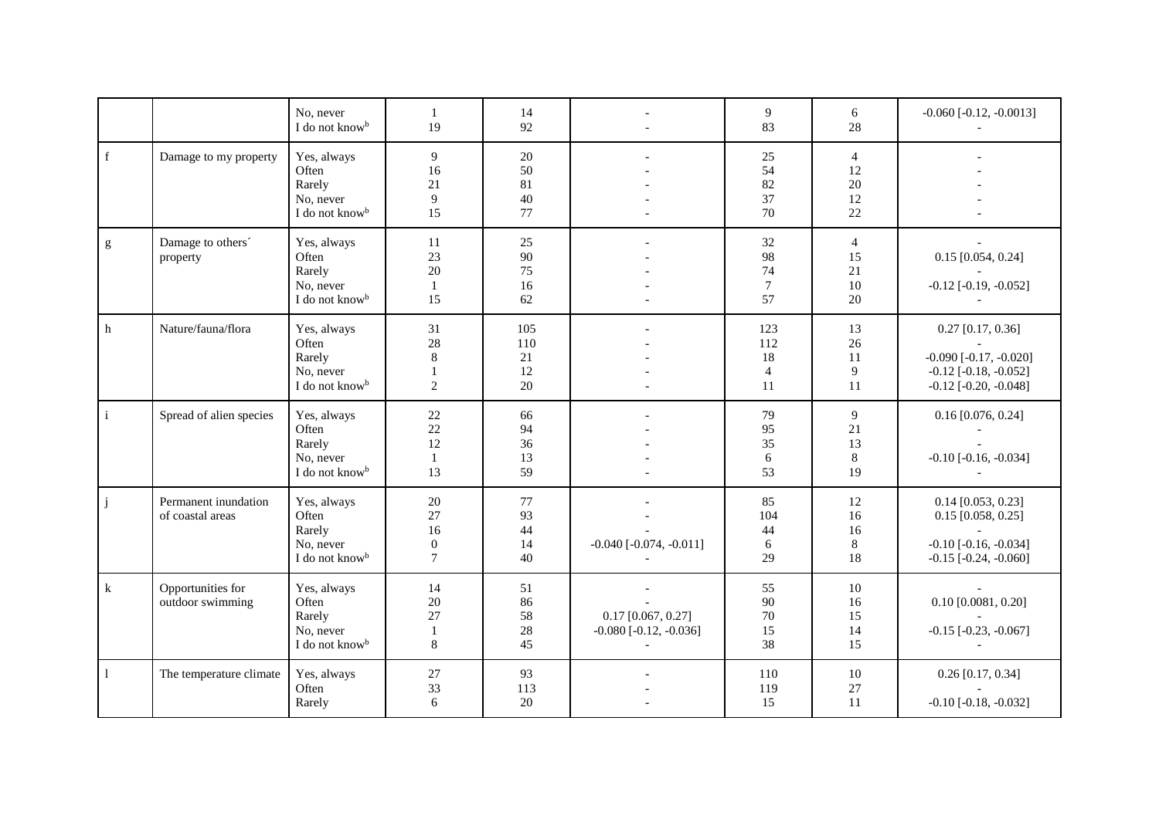|                                                                                                                                                                                                                                                                                                                                                                                                                                |                                          | No, never<br>I do not know <sup>b</sup>                                   | $\mathbf{1}$<br>19                                  | 14<br>92                     |                                                                     | 9<br>83                                  | 6<br>28                                | $-0.060$ [ $-0.12$ , $-0.0013$ ]                                                                                     |
|--------------------------------------------------------------------------------------------------------------------------------------------------------------------------------------------------------------------------------------------------------------------------------------------------------------------------------------------------------------------------------------------------------------------------------|------------------------------------------|---------------------------------------------------------------------------|-----------------------------------------------------|------------------------------|---------------------------------------------------------------------|------------------------------------------|----------------------------------------|----------------------------------------------------------------------------------------------------------------------|
| f                                                                                                                                                                                                                                                                                                                                                                                                                              | Damage to my property                    | Yes, always<br>Often<br>Rarely<br>No, never<br>I do not know <sup>b</sup> | 9<br>16<br>21<br>9<br>15                            | 20<br>50<br>81<br>40<br>77   |                                                                     | 25<br>54<br>82<br>37<br>70               | $\overline{4}$<br>12<br>20<br>12<br>22 |                                                                                                                      |
| $\mathbf{g}% _{T}=\mathbf{g}_{T}=\mathbf{g}_{T}=\mathbf{g}_{T}=\mathbf{g}_{T}=\mathbf{g}_{T}=\mathbf{g}_{T}=\mathbf{g}_{T}=\mathbf{g}_{T}=\mathbf{g}_{T}=\mathbf{g}_{T}=\mathbf{g}_{T}=\mathbf{g}_{T}=\mathbf{g}_{T}=\mathbf{g}_{T}=\mathbf{g}_{T}=\mathbf{g}_{T}=\mathbf{g}_{T}=\mathbf{g}_{T}=\mathbf{g}_{T}=\mathbf{g}_{T}=\mathbf{g}_{T}=\mathbf{g}_{T}=\mathbf{g}_{T}=\mathbf{g}_{T}=\mathbf{g}_{T}=\mathbf{g}_{T}=\math$ | Damage to others'<br>property            | Yes, always<br>Often<br>Rarely<br>No, never<br>I do not know <sup>b</sup> | 11<br>23<br>20<br>$1\,$<br>15                       | 25<br>90<br>75<br>16<br>62   |                                                                     | 32<br>98<br>74<br>$\tau$<br>57           | $\overline{4}$<br>15<br>21<br>10<br>20 | $0.15$ [0.054, 0.24]<br>$-0.12$ [ $-0.19, -0.052$ ]                                                                  |
| h                                                                                                                                                                                                                                                                                                                                                                                                                              | Nature/fauna/flora                       | Yes, always<br>Often<br>Rarely<br>No, never<br>I do not know <sup>b</sup> | 31<br>28<br>$8\,$<br>$\mathbf{1}$<br>$\overline{2}$ | 105<br>110<br>21<br>12<br>20 |                                                                     | 123<br>112<br>18<br>$\overline{4}$<br>11 | 13<br>26<br>11<br>9<br>11              | $0.27$ [0.17, 0.36]<br>$-0.090$ [ $-0.17, -0.020$ ]<br>$-0.12$ [ $-0.18$ , $-0.052$ ]<br>$-0.12$ [ $-0.20, -0.048$ ] |
| $\mathbf i$                                                                                                                                                                                                                                                                                                                                                                                                                    | Spread of alien species                  | Yes, always<br>Often<br>Rarely<br>No, never<br>I do not know <sup>b</sup> | 22<br>$22\,$<br>12<br>$\mathbf{1}$<br>13            | 66<br>94<br>36<br>13<br>59   |                                                                     | 79<br>95<br>35<br>6<br>53                | 9<br>$21\,$<br>13<br>8<br>19           | $0.16$ [0.076, 0.24]<br>$-0.10$ [ $-0.16$ , $-0.034$ ]                                                               |
| j                                                                                                                                                                                                                                                                                                                                                                                                                              | Permanent inundation<br>of coastal areas | Yes, always<br>Often<br>Rarely<br>No, never<br>I do not know <sup>b</sup> | 20<br>27<br>16<br>$\boldsymbol{0}$<br>$\tau$        | 77<br>93<br>44<br>14<br>40   | $-0.040$ [ $-0.074$ , $-0.011$ ]                                    | 85<br>104<br>44<br>6<br>29               | 12<br>16<br>16<br>$\,8\,$<br>18        | $0.14$ [0.053, 0.23]<br>$0.15$ [0.058, 0.25]<br>$-0.10$ [ $-0.16$ , $-0.034$ ]<br>$-0.15$ $[-0.24, -0.060]$          |
| $\bf k$                                                                                                                                                                                                                                                                                                                                                                                                                        | Opportunities for<br>outdoor swimming    | Yes, always<br>Often<br>Rarely<br>No, never<br>I do not know <sup>b</sup> | 14<br>20<br>27<br>$\mathbf{1}$<br>8                 | 51<br>86<br>58<br>28<br>45   | $0.17$ [0.067, 0.27]<br>$-0.080$ [ $-0.12$ , $-0.036$ ]<br>$\equiv$ | 55<br>90<br>70<br>15<br>38               | 10<br>16<br>15<br>14<br>15             | $0.10$ [0.0081, 0.20]<br>$-0.15$ [ $-0.23$ , $-0.067$ ]                                                              |
| $\mathbf{1}$                                                                                                                                                                                                                                                                                                                                                                                                                   | The temperature climate                  | Yes, always<br>Often<br>Rarely                                            | $27\,$<br>33<br>6                                   | 93<br>113<br>20              |                                                                     | 110<br>119<br>15                         | 10<br>27<br>11                         | $0.26$ [0.17, 0.34]<br>$-0.10$ [ $-0.18$ , $-0.032$ ]                                                                |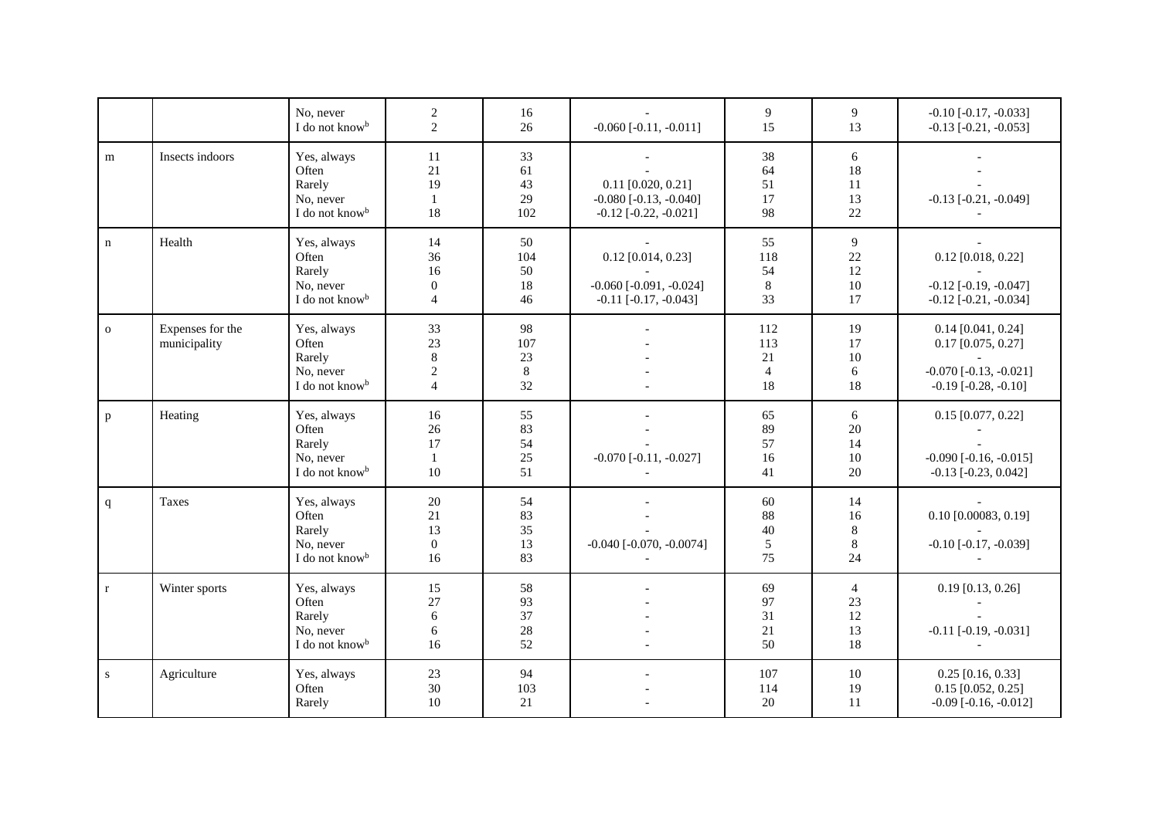|              |                                  | No. never<br>I do not know <sup>b</sup>                                   | $\sqrt{2}$<br>$\mathbf{2}$                              | 16<br>26                       | $-0.060$ $[-0.11, -0.011]$                                                           | 9<br>15                                  | 9<br>13                                | $-0.10$ [ $-0.17, -0.033$ ]<br>$-0.13$ [ $-0.21$ , $-0.053$ ]                                                    |
|--------------|----------------------------------|---------------------------------------------------------------------------|---------------------------------------------------------|--------------------------------|--------------------------------------------------------------------------------------|------------------------------------------|----------------------------------------|------------------------------------------------------------------------------------------------------------------|
| m            | Insects indoors                  | Yes, always<br>Often<br>Rarely<br>No, never<br>I do not know <sup>b</sup> | 11<br>21<br>19<br>$\mathbf{1}$<br>18                    | 33<br>61<br>43<br>29<br>102    | $0.11$ [0.020, 0.21]<br>$-0.080$ [ $-0.13$ , $-0.040$ ]<br>$-0.12$ $[-0.22, -0.021]$ | 38<br>64<br>51<br>17<br>98               | 6<br>18<br>11<br>13<br>22              | $-0.13$ [ $-0.21, -0.049$ ]                                                                                      |
| $\mathbf n$  | Health                           | Yes, always<br>Often<br>Rarely<br>No, never<br>I do not know <sup>b</sup> | 14<br>36<br>16<br>$\boldsymbol{0}$<br>$\overline{4}$    | 50<br>104<br>50<br>18<br>46    | $0.12$ [0.014, 0.23]<br>$-0.060$ [ $-0.091, -0.024$ ]<br>$-0.11$ $[-0.17, -0.043]$   | 55<br>118<br>54<br>$\,8\,$<br>33         | $\overline{9}$<br>22<br>12<br>10<br>17 | $0.12$ [0.018, 0.22]<br>$-0.12$ [ $-0.19, -0.047$ ]<br>$-0.12$ [ $-0.21$ , $-0.034$ ]                            |
| $\mathbf{o}$ | Expenses for the<br>municipality | Yes, always<br>Often<br>Rarely<br>No, never<br>I do not know <sup>b</sup> | 33<br>23<br>$\,8\,$<br>$\overline{2}$<br>$\overline{4}$ | 98<br>107<br>23<br>$8\,$<br>32 |                                                                                      | 112<br>113<br>21<br>$\overline{4}$<br>18 | 19<br>17<br>10<br>6<br>18              | $0.14$ [0.041, 0.24]<br>$0.17$ [0.075, 0.27]<br>$-0.070$ [ $-0.13$ , $-0.021$ ]<br>$-0.19$ [ $-0.28$ , $-0.10$ ] |
| p            | Heating                          | Yes, always<br>Often<br>Rarely<br>No. never<br>I do not know <sup>b</sup> | 16<br>$26\,$<br>17<br>$\mathbf{1}$<br>10                | 55<br>83<br>54<br>25<br>51     | $-0.070$ [ $-0.11, -0.027$ ]                                                         | 65<br>89<br>57<br>16<br>41               | 6<br>20<br>14<br>10<br>20              | $0.15$ [0.077, 0.22]<br>$-0.090$ [ $-0.16$ , $-0.015$ ]<br>$-0.13$ [ $-0.23$ , $0.042$ ]                         |
| $\mathbf{q}$ | Taxes                            | Yes, always<br>Often<br>Rarely<br>No, never<br>I do not know <sup>b</sup> | 20<br>21<br>13<br>$\boldsymbol{0}$<br>16                | 54<br>83<br>35<br>13<br>83     | $-0.040$ [ $-0.070$ , $-0.0074$ ]                                                    | 60<br>88<br>40<br>$\sqrt{5}$<br>75       | 14<br>16<br>$8\,$<br>$\,8\,$<br>24     | $0.10$ [0.00083, 0.19]<br>$-0.10$ [ $-0.17, -0.039$ ]                                                            |
| $\mathbf{r}$ | Winter sports                    | Yes, always<br>Often<br>Rarely<br>No, never<br>I do not know <sup>b</sup> | 15<br>27<br>6<br>6<br>16                                | 58<br>93<br>37<br>28<br>52     |                                                                                      | 69<br>97<br>31<br>21<br>50               | $\overline{4}$<br>23<br>12<br>13<br>18 | $0.19$ [0.13, 0.26]<br>$-0.11$ [ $-0.19, -0.031$ ]                                                               |
| ${\bf S}$    | Agriculture                      | Yes, always<br>Often<br>Rarely                                            | $23\,$<br>$30\,$<br>10                                  | 94<br>103<br>21                |                                                                                      | 107<br>114<br>20                         | 10<br>19<br>11                         | $0.25$ [0.16, 0.33]<br>$0.15$ [0.052, 0.25]<br>$-0.09$ $[-0.16, -0.012]$                                         |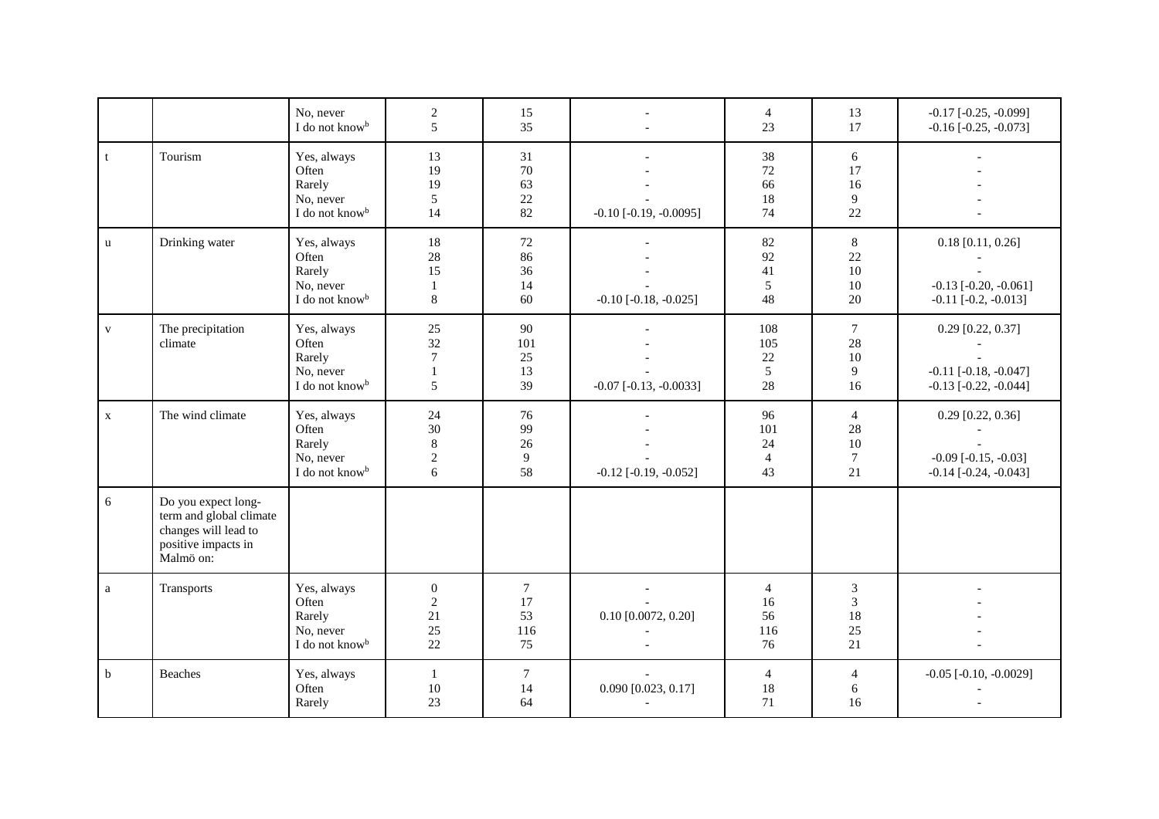|              |                                                                                                            | No, never<br>I do not know <sup>b</sup>                                   | $\sqrt{2}$<br>5                                   | 15<br>35                        |                                 | $\overline{4}$<br>23                    | 13<br>17                                   | $-0.17$ $[-0.25, -0.099]$<br>$-0.16$ [ $-0.25$ , $-0.073$ ]                          |
|--------------|------------------------------------------------------------------------------------------------------------|---------------------------------------------------------------------------|---------------------------------------------------|---------------------------------|---------------------------------|-----------------------------------------|--------------------------------------------|--------------------------------------------------------------------------------------|
| $\mathbf{t}$ | Tourism                                                                                                    | Yes, always<br>Often<br>Rarely<br>No, never<br>I do not know <sup>b</sup> | 13<br>19<br>19<br>5<br>14                         | 31<br>70<br>63<br>$22\,$<br>82  | $-0.10$ [ $-0.19$ , $-0.0095$ ] | 38<br>72<br>66<br>18<br>74              | 6<br>17<br>16<br>9<br>22                   |                                                                                      |
| $\mathbf{u}$ | Drinking water                                                                                             | Yes, always<br>Often<br>Rarely<br>No, never<br>I do not know <sup>b</sup> | 18<br>28<br>15<br>$\mathbf{1}$<br>$\,8\,$         | 72<br>86<br>36<br>14<br>60      | $-0.10$ [ $-0.18$ , $-0.025$ ]  | 82<br>92<br>41<br>5<br>48               | 8<br>22<br>10<br>10<br>20                  | $0.18$ [0.11, 0.26]<br>$-0.13$ [ $-0.20, -0.061$ ]<br>$-0.11$ $[-0.2, -0.013]$       |
| $\mathbf{V}$ | The precipitation<br>climate                                                                               | Yes, always<br>Often<br>Rarely<br>No, never<br>I do not know <sup>b</sup> | 25<br>32<br>$\boldsymbol{7}$<br>$\mathbf{1}$<br>5 | 90<br>101<br>25<br>13<br>39     | $-0.07$ [ $-0.13$ , $-0.0033$ ] | 108<br>105<br>22<br>5<br>28             | $\overline{7}$<br>28<br>10<br>9<br>16      | $0.29$ [0.22, 0.37]<br>$-0.11$ [ $-0.18$ , $-0.047$ ]<br>$-0.13$ [ $-0.22, -0.044$ ] |
| $\mathbf X$  | The wind climate                                                                                           | Yes, always<br>Often<br>Rarely<br>No, never<br>I do not know <sup>b</sup> | 24<br>30<br>$\,8\,$<br>$\overline{2}$<br>6        | 76<br>99<br>26<br>9<br>58       | $-0.12$ [ $-0.19, -0.052$ ]     | 96<br>101<br>24<br>$\overline{4}$<br>43 | $\overline{4}$<br>28<br>10<br>$\tau$<br>21 | $0.29$ [0.22, 0.36]<br>$-0.09$ $[-0.15, -0.03]$<br>$-0.14$ [ $-0.24$ , $-0.043$ ]    |
| 6            | Do you expect long-<br>term and global climate<br>changes will lead to<br>positive impacts in<br>Malmö on: |                                                                           |                                                   |                                 |                                 |                                         |                                            |                                                                                      |
| a            | Transports                                                                                                 | Yes, always<br>Often<br>Rarely<br>No, never<br>I do not know <sup>b</sup> | $\boldsymbol{0}$<br>$\sqrt{2}$<br>21<br>25<br>22  | $\tau$<br>17<br>53<br>116<br>75 | $0.10$ [0.0072, 0.20]           | $\overline{4}$<br>16<br>56<br>116<br>76 | 3<br>$\mathfrak{Z}$<br>18<br>25<br>21      |                                                                                      |
| $\mathbf b$  | <b>Beaches</b>                                                                                             | Yes, always<br>Often<br>Rarely                                            | $\mathbf{1}$<br>$10\,$<br>23                      | $\tau$<br>14<br>64              | $0.090$ [0.023, 0.17]           | 4<br>18<br>71                           | 4<br>6<br>16                               | $-0.05$ [ $-0.10, -0.0029$ ]                                                         |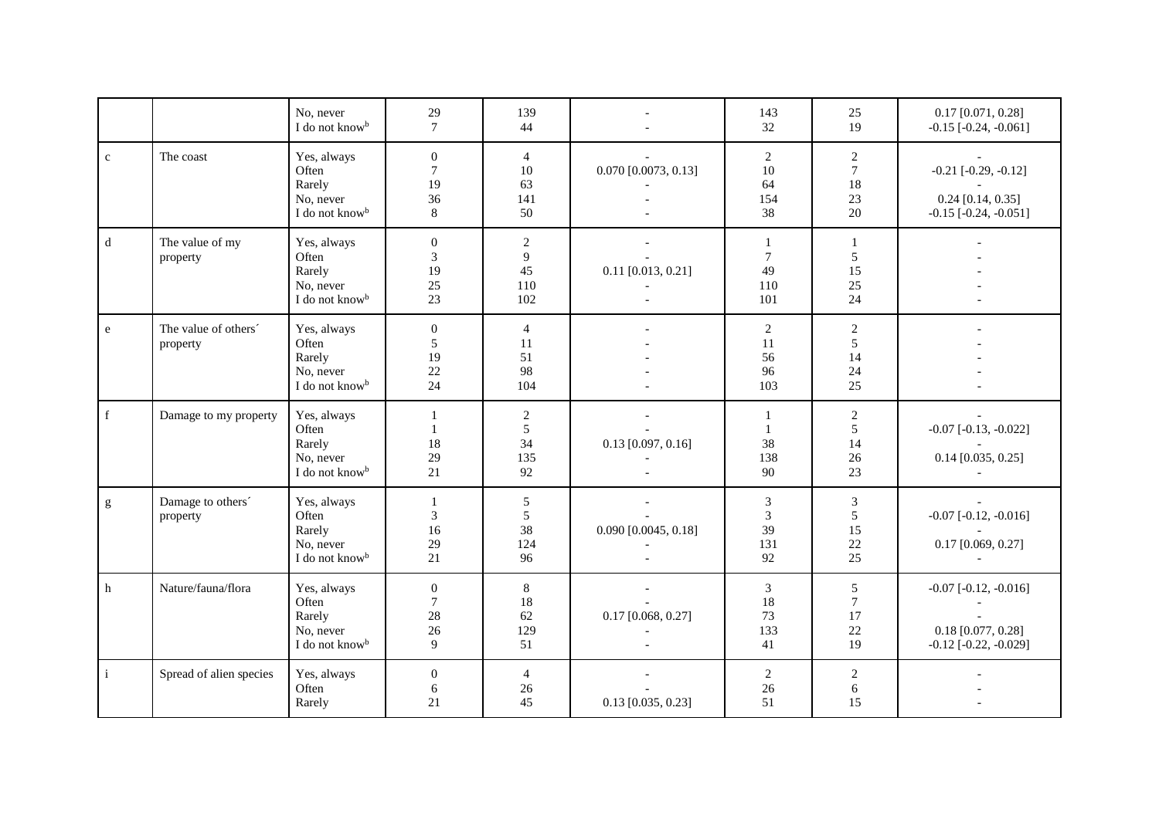|              |                                  | No, never<br>I do not know <sup>b</sup>                                   | 29<br>$\tau$                                         | 139<br>44                                       |                        | 143<br>32                               | 25<br>19                                        | $0.17$ [0.071, 0.28]<br>$-0.15$ [ $-0.24$ , $-0.061$ ]                           |
|--------------|----------------------------------|---------------------------------------------------------------------------|------------------------------------------------------|-------------------------------------------------|------------------------|-----------------------------------------|-------------------------------------------------|----------------------------------------------------------------------------------|
| $\mathbf{c}$ | The coast                        | Yes, always<br>Often<br>Rarely<br>No, never<br>I do not know <sup>b</sup> | $\mathbf{0}$<br>$\boldsymbol{7}$<br>19<br>36<br>8    | $\overline{4}$<br>10<br>63<br>141<br>50         | $0.070$ [0.0073, 0.13] | $\overline{2}$<br>10<br>64<br>154<br>38 | $\sqrt{2}$<br>$7\phantom{.0}$<br>18<br>23<br>20 | $-0.21$ [ $-0.29, -0.12$ ]<br>$0.24$ [0.14, 0.35]<br>$-0.15$ $[-0.24, -0.051]$   |
| $\mathbf d$  | The value of my<br>property      | Yes, always<br>Often<br>Rarely<br>No, never<br>I do not know <sup>b</sup> | $\mathbf{0}$<br>3<br>19<br>25<br>23                  | $\overline{c}$<br>9<br>45<br>110<br>102         | $0.11$ [0.013, 0.21]   | 1<br>$\tau$<br>49<br>110<br>101         | 1<br>5<br>15<br>25<br>24                        |                                                                                  |
| $\rm e$      | The value of others'<br>property | Yes, always<br>Often<br>Rarely<br>No, never<br>I do not know <sup>b</sup> | $\boldsymbol{0}$<br>$\sqrt{5}$<br>19<br>$22\,$<br>24 | $\overline{4}$<br>11<br>51<br>98<br>104         |                        | $\overline{c}$<br>11<br>56<br>96<br>103 | $\sqrt{2}$<br>5<br>14<br>24<br>25               |                                                                                  |
| $\mathbf f$  | Damage to my property            | Yes, always<br>Often<br>Rarely<br>No, never<br>I do not know <sup>b</sup> | 1<br>$\mathbf{1}$<br>18<br>29<br>21                  | $\overline{c}$<br>$\sqrt{5}$<br>34<br>135<br>92 | $0.13$ [0.097, 0.16]   | 1<br>$\mathbf{1}$<br>38<br>138<br>90    | $\overline{c}$<br>5<br>14<br>26<br>23           | $-0.07$ $[-0.13, -0.022]$<br>$0.14$ [0.035, 0.25]                                |
| g            | Damage to others'<br>property    | Yes, always<br>Often<br>Rarely<br>No, never<br>I do not know <sup>b</sup> | 1<br>$\mathfrak{Z}$<br>16<br>29<br>21                | $5\phantom{.0}$<br>5<br>38<br>124<br>96         | $0.090$ [0.0045, 0.18] | $\mathfrak{Z}$<br>3<br>39<br>131<br>92  | $\mathfrak{Z}$<br>5<br>15<br>22<br>25           | $-0.07$ $[-0.12, -0.016]$<br>$0.17$ [0.069, 0.27]                                |
| h            | Nature/fauna/flora               | Yes, always<br>Often<br>Rarely<br>No, never<br>I do not know <sup>b</sup> | $\boldsymbol{0}$<br>$\tau$<br>28<br>$26\,$<br>9      | $8\,$<br>18<br>62<br>129<br>51                  | $0.17$ [0.068, 0.27]   | $\mathfrak{Z}$<br>18<br>73<br>133<br>41 | 5<br>$\tau$<br>17<br>22<br>19                   | $-0.07$ $[-0.12, -0.016]$<br>$0.18$ [0.077, 0.28]<br>$-0.12$ [ $-0.22, -0.029$ ] |
| $\,$ i $\,$  | Spread of alien species          | Yes, always<br>Often<br>Rarely                                            | $\boldsymbol{0}$<br>6<br>21                          | $\overline{4}$<br>26<br>45                      | $0.13$ [0.035, 0.23]   | $\overline{2}$<br>26<br>51              | $\sqrt{2}$<br>6<br>15                           |                                                                                  |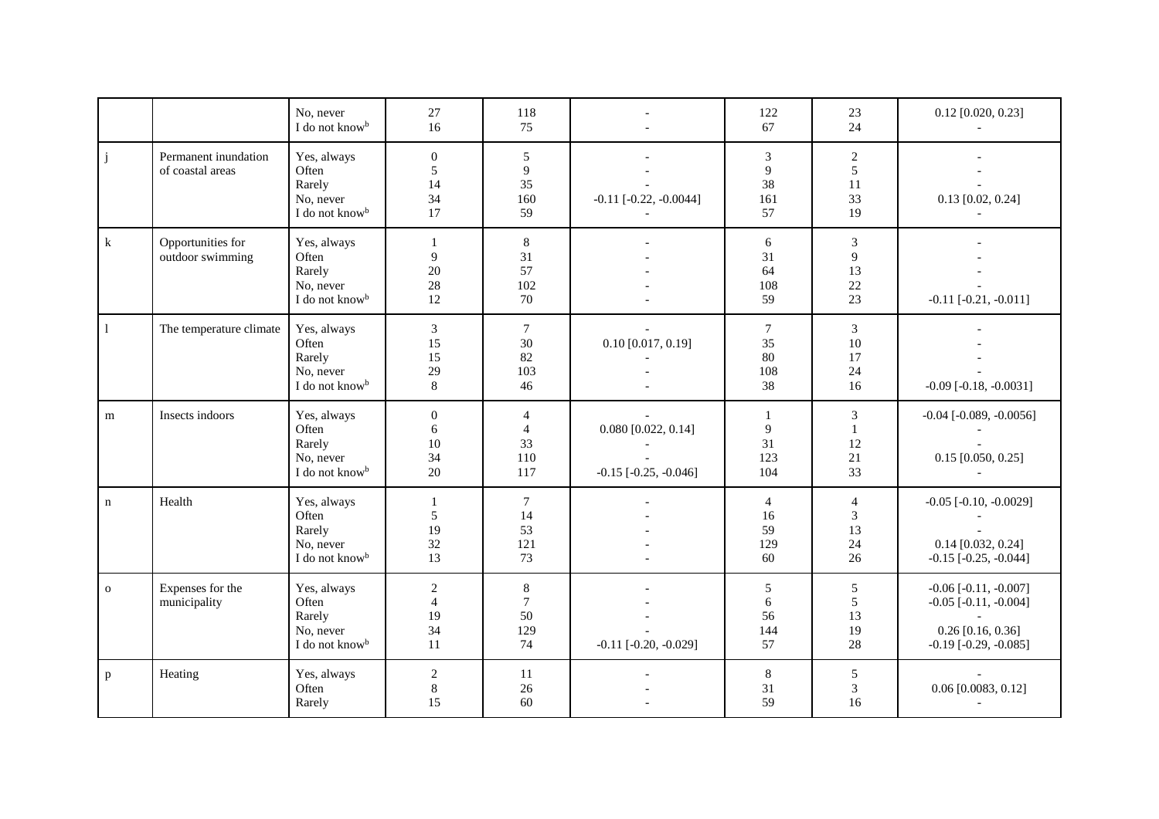|              |                                          | No, never<br>I do not know <sup>b</sup>                                   | 27<br>16                                       | 118<br>75                               |                                                    | 122<br>67                               | 23<br>24                              | $0.12$ [0.020, 0.23]                                                                                                |
|--------------|------------------------------------------|---------------------------------------------------------------------------|------------------------------------------------|-----------------------------------------|----------------------------------------------------|-----------------------------------------|---------------------------------------|---------------------------------------------------------------------------------------------------------------------|
| $\mathbf{j}$ | Permanent inundation<br>of coastal areas | Yes, always<br>Often<br>Rarely<br>No, never<br>I do not know <sup>b</sup> | $\mathbf{0}$<br>5<br>14<br>34<br>17            | 5<br>9<br>35<br>160<br>59               | $-0.11$ $[-0.22, -0.0044]$                         | 3<br>9<br>38<br>161<br>57               | $\overline{c}$<br>5<br>11<br>33<br>19 | $0.13$ [0.02, 0.24]                                                                                                 |
| $\bf k$      | Opportunities for<br>outdoor swimming    | Yes, always<br>Often<br>Rarely<br>No, never<br>I do not know <sup>b</sup> | 1<br>9<br>$20\,$<br>$28\,$<br>12               | $\,8\,$<br>31<br>57<br>102<br>70        |                                                    | 6<br>31<br>64<br>108<br>59              | 3<br>9<br>13<br>22<br>23              | $-0.11$ $[-0.21, -0.011]$                                                                                           |
| -1           | The temperature climate                  | Yes, always<br>Often<br>Rarely<br>No, never<br>I do not know <sup>b</sup> | $\mathfrak{Z}$<br>15<br>15<br>29<br>8          | $\overline{7}$<br>30<br>82<br>103<br>46 | $0.10$ [0.017, 0.19]                               | $\tau$<br>35<br>80<br>108<br>38         | 3<br>10<br>17<br>24<br>16             | $-0.09$ [ $-0.18$ , $-0.0031$ ]                                                                                     |
| ${\bf m}$    | Insects indoors                          | Yes, always<br>Often<br>Rarely<br>No, never<br>I do not know <sup>b</sup> | $\mathbf{0}$<br>6<br>$10\,$<br>34<br>20        | 4<br>$\overline{4}$<br>33<br>110<br>117 | $0.080$ [0.022, 0.14]<br>$-0.15$ $[-0.25, -0.046]$ | 1<br>9<br>31<br>123<br>104              | 3<br>$\mathbf{1}$<br>12<br>21<br>33   | $-0.04$ [ $-0.089, -0.0056$ ]<br>$0.15$ [0.050, 0.25]                                                               |
| $\mathbf n$  | Health                                   | Yes, always<br>Often<br>Rarely<br>No, never<br>I do not know <sup>b</sup> | 1<br>5<br>19<br>32<br>13                       | $\tau$<br>14<br>53<br>121<br>73         |                                                    | $\overline{4}$<br>16<br>59<br>129<br>60 | $\overline{4}$<br>3<br>13<br>24<br>26 | $-0.05$ [ $-0.10, -0.0029$ ]<br>$0.14$ [0.032, 0.24]<br>$-0.15$ $[-0.25, -0.044]$                                   |
| $\mathbf{o}$ | Expenses for the<br>municipality         | Yes, always<br>Often<br>Rarely<br>No, never<br>I do not know <sup>b</sup> | $\sqrt{2}$<br>$\overline{4}$<br>19<br>34<br>11 | $8\,$<br>$\tau$<br>50<br>129<br>74      | $-0.11$ $[-0.20, -0.029]$                          | $\sqrt{5}$<br>6<br>56<br>144<br>57      | $\sqrt{5}$<br>5<br>13<br>19<br>28     | $-0.06$ [ $-0.11, -0.007$ ]<br>$-0.05$ [ $-0.11, -0.004$ ]<br>$0.26$ [0.16, 0.36]<br>$-0.19$ [ $-0.29$ , $-0.085$ ] |
| $\mathbf{p}$ | Heating                                  | Yes, always<br>Often<br>Rarely                                            | $\sqrt{2}$<br>$\,8\,$<br>15                    | 11<br>$26\,$<br>60                      |                                                    | $\,8\,$<br>31<br>59                     | 5<br>3<br>16                          | 0.06 [0.0083, 0.12]                                                                                                 |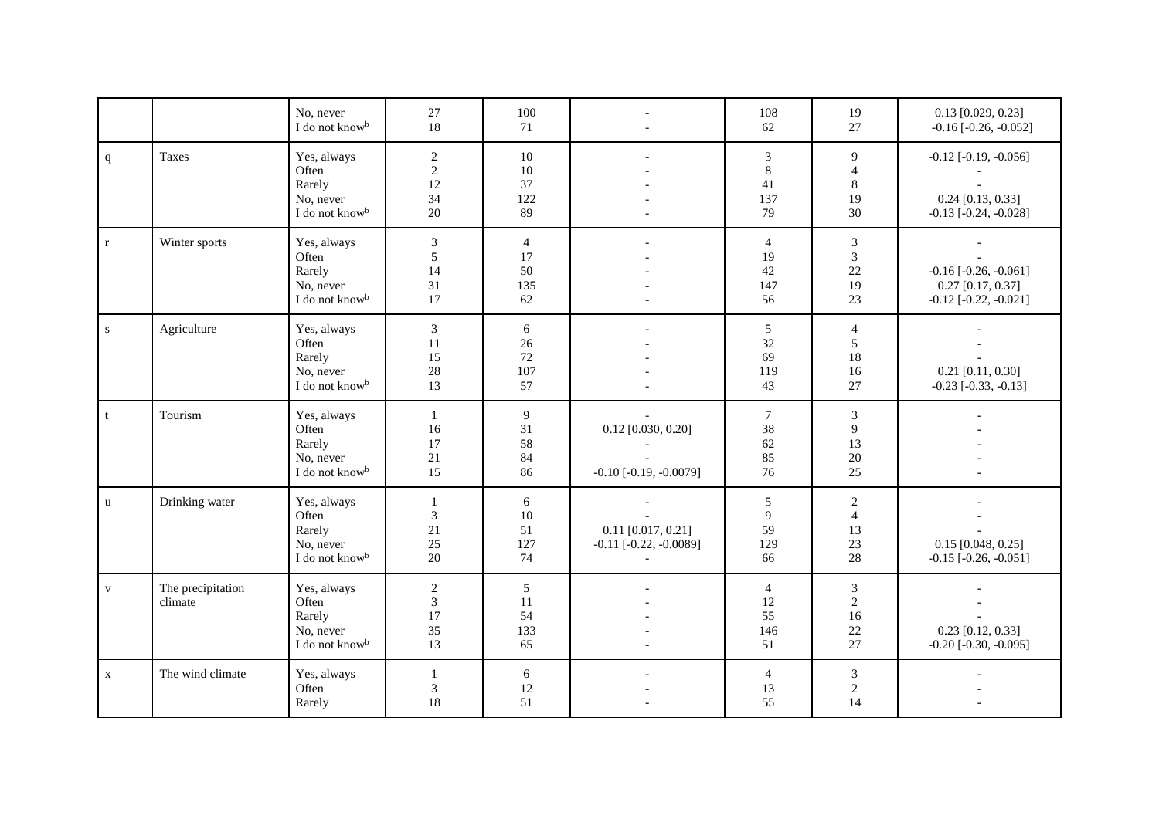|              |                              | No, never<br>I do not know <sup>b</sup>                                   | 27<br>18                                       | 100<br>71                                |                                                         | 108<br>62                               | 19<br>27                                           | $0.13$ [0.029, 0.23]<br>$-0.16$ [ $-0.26$ , $-0.052$ ]                               |
|--------------|------------------------------|---------------------------------------------------------------------------|------------------------------------------------|------------------------------------------|---------------------------------------------------------|-----------------------------------------|----------------------------------------------------|--------------------------------------------------------------------------------------|
| $\mathbf{q}$ | Taxes                        | Yes, always<br>Often<br>Rarely<br>No, never<br>I do not know <sup>b</sup> | $\sqrt{2}$<br>$\sqrt{2}$<br>12<br>34<br>20     | 10<br>10<br>37<br>122<br>89              |                                                         | 3<br>$\,8\,$<br>41<br>137<br>79         | 9<br>$\overline{4}$<br>8<br>19<br>30               | $-0.12$ [ $-0.19, -0.056$ ]<br>$0.24$ [0.13, 0.33]<br>$-0.13$ $[-0.24, -0.028]$      |
| $\mathbf{r}$ | Winter sports                | Yes, always<br>Often<br>Rarely<br>No, never<br>I do not know <sup>b</sup> | $\mathfrak{Z}$<br>5<br>14<br>31<br>17          | $\overline{4}$<br>17<br>50<br>135<br>62  |                                                         | $\overline{4}$<br>19<br>42<br>147<br>56 | $\boldsymbol{\mathfrak{Z}}$<br>3<br>22<br>19<br>23 | $-0.16$ [ $-0.26$ , $-0.061$ ]<br>$0.27$ [0.17, 0.37]<br>$-0.12$ [ $-0.22, -0.021$ ] |
| ${\bf S}$    | Agriculture                  | Yes, always<br>Often<br>Rarely<br>No, never<br>I do not know <sup>b</sup> | $\mathfrak{Z}$<br>11<br>15<br>28<br>13         | 6<br>26<br>72<br>107<br>57               |                                                         | 5<br>32<br>69<br>119<br>43              | $\overline{4}$<br>5<br>18<br>16<br>27              | $0.21$ [0.11, 0.30]<br>$-0.23$ [ $-0.33$ , $-0.13$ ]                                 |
| t            | Tourism                      | Yes, always<br>Often<br>Rarely<br>No, never<br>I do not know <sup>b</sup> | $\mathbf{1}$<br>16<br>17<br>21<br>15           | 9<br>31<br>58<br>84<br>86                | $0.12$ [0.030, 0.20]<br>$-0.10$ [ $-0.19$ , $-0.0079$ ] | $\tau$<br>38<br>62<br>85<br>76          | 3<br>9<br>13<br>20<br>25                           |                                                                                      |
| u            | Drinking water               | Yes, always<br>Often<br>Rarely<br>No, never<br>I do not know <sup>b</sup> | 1<br>3<br>21<br>25<br>20                       | 6<br>10<br>51<br>127<br>74               | $0.11$ [0.017, 0.21]<br>$-0.11$ [ $-0.22, -0.0089$ ]    | 5<br>9<br>59<br>129<br>66               | $\overline{c}$<br>$\overline{4}$<br>13<br>23<br>28 | $0.15$ [0.048, 0.25]<br>$-0.15$ [ $-0.26$ , $-0.051$ ]                               |
| $\mathbf{V}$ | The precipitation<br>climate | Yes, always<br>Often<br>Rarely<br>No, never<br>I do not know <sup>b</sup> | $\sqrt{2}$<br>$\mathfrak{Z}$<br>17<br>35<br>13 | $5\overline{)}$<br>11<br>54<br>133<br>65 |                                                         | $\overline{4}$<br>12<br>55<br>146<br>51 | 3<br>$\sqrt{2}$<br>16<br>22<br>27                  | $0.23$ [0.12, 0.33]<br>$-0.20$ [ $-0.30$ , $-0.095$ ]                                |
| $\mathbf{X}$ | The wind climate             | Yes, always<br>Often<br>Rarely                                            | $\mathbf{1}$<br>$\mathfrak{Z}$<br>18           | 6<br>12<br>51                            |                                                         | $\overline{4}$<br>13<br>55              | 3<br>$\overline{c}$<br>14                          |                                                                                      |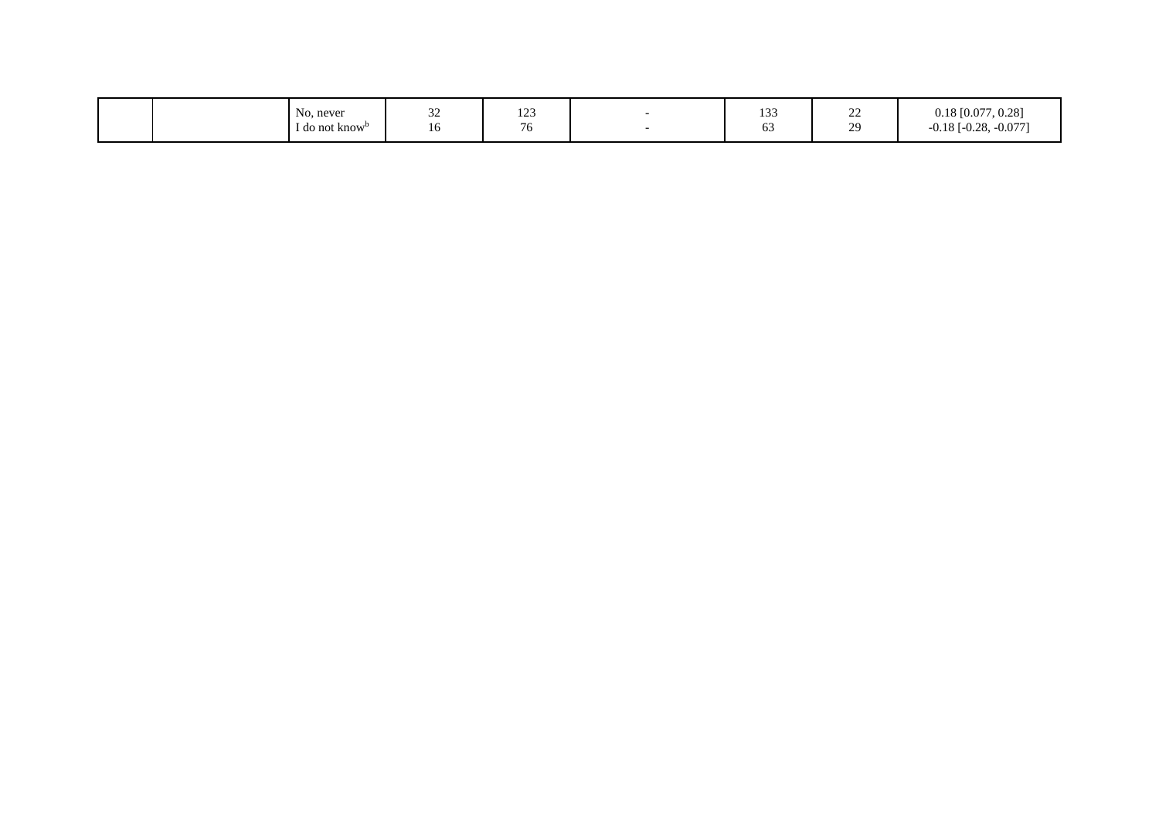|  | <b>B</b> 1<br>No, never<br>1 do not know <sup>0</sup> | $\sim$<br>سدد<br>10 | 100<br>$1 - 3$<br>$\overline{\phantom{0}}$ |  | 122<br>133<br>$\sim$<br>0 <sub>5</sub> | $\sim$<br>ستد<br>$\sim$<br>,,, | $\sqrt{27}$<br>0.22<br>$0.18$ [0.077, 0.28]<br>$. -0.077$<br>$\Omega$<br>$1 - 0.20$<br>-0.10 |
|--|-------------------------------------------------------|---------------------|--------------------------------------------|--|----------------------------------------|--------------------------------|----------------------------------------------------------------------------------------------|
|--|-------------------------------------------------------|---------------------|--------------------------------------------|--|----------------------------------------|--------------------------------|----------------------------------------------------------------------------------------------|